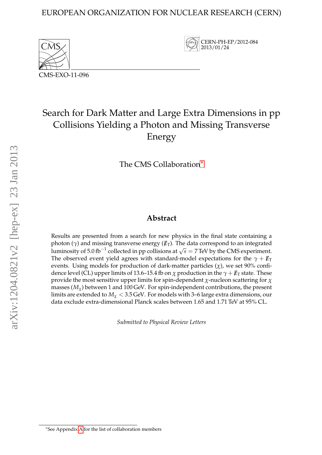## EUROPEAN ORGANIZATION FOR NUCLEAR RESEARCH (CERN)





# Search for Dark Matter and Large Extra Dimensions in pp Collisions Yielding a Photon and Missing Transverse Energy

The CMS Collaboration[∗](#page-0-0)

## **Abstract**

Results are presented from a search for new physics in the final state containing a photon ( $\gamma$ ) and missing transverse energy ( $E_T$ ). The data correspond to an integrated  $l$ uminosity of 5.0 fb<sup>−1</sup> collected in pp collisions at  $\sqrt{s}$  = 7 TeV by the CMS experiment. The observed event yield agrees with standard-model expectations for the  $\gamma + \cancel{E_T}$ events. Using models for production of dark-matter particles  $(\chi)$ , we set 90% confidence level (CL) upper limits of 13.6–15.4 fb on *χ* production in the  $\gamma + \mathcal{E}_T$  state. These provide the most sensitive upper limits for spin-dependent *χ*-nucleon scattering for *χ* masses  $(M_{\chi})$  between 1 and 100 GeV. For spin-independent contributions, the present limits are extended to  $M_{\chi}$  < 3.5 GeV. For models with 3–6 large extra dimensions, our data exclude extra-dimensional Planck scales between 1.65 and 1.71 TeV at 95% CL.

*Submitted to Physical Review Letters*

<span id="page-0-0"></span><sup>∗</sup>See Appendix [A](#page-12-0) for the list of collaboration members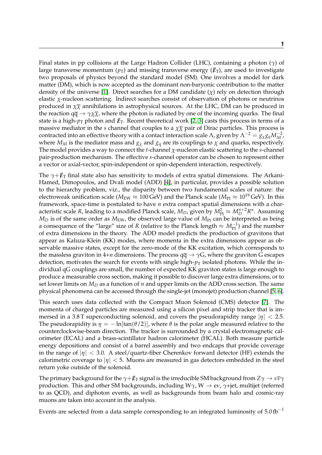Final states in pp collisions at the Large Hadron Collider (LHC), containing a photon (*γ*) of large transverse momentum ( $p_T$ ) and missing transverse energy ( $\mathcal{E}_T$ ), are used to investigate two proposals of physics beyond the standard model (SM). One involves a model for dark matter (DM), which is now accepted as the dominant non-baryonic contribution to the matter density of the universe [\[1\]](#page-8-0). Direct searches for a DM candidate  $(\chi)$  rely on detection through elastic *χ*-nucleon scattering. Indirect searches consist of observation of photons or neutrinos produced in  $\chi \overline{\chi}$  annihilations in astrophysical sources. At the LHC, DM can be produced in the reaction  $q\bar{q} \to \gamma \chi \bar{\chi}$ , where the photon is radiated by one of the incoming quarks. The final state is a high- $p_T$  photon and  $E_T$ . Recent theoretical work [\[2,](#page-8-1) [3\]](#page-8-2) casts this process in terms of a massive mediator in the *s* channel that couples to a  $\chi \overline{\chi}$  pair of Dirac particles. This process is contracted into an effective theory with a contact interaction scale  $\Lambda$ , given by  $\Lambda^{-2} = g_\chi g_q M_M^{-2}$ , where  $M_M$  is the mediator mass and  $g_\chi$  and  $g_\text{q}$  are its couplings to  $\chi$  and quarks, respectively. The model provides a way to connect the *t*-channel *χ*-nucleon elastic scattering to the *s*-channel pair-production mechanism. The effective *s*-channel operator can be chosen to represent either a vector or axial-vector, spin-independent or spin-dependent interaction, respectively.

The  $\gamma$ + $E_T$  final state also has sensitivity to models of extra spatial dimensions. The Arkani-Hamed, Dimopoulos, and Dvali model (ADD) [\[4\]](#page-8-3), in particular, provides a possible solution to the hierarchy problem, viz., the disparity between two fundamental scales of nature: the electroweak unification scale ( $M_{EW} \approx 100$  GeV) and the Planck scale ( $M_{Pl} \approx 10^{19}$  GeV). In this framework, space-time is postulated to have *n* extra compact spatial dimensions with a characteristic scale *R*, leading to a modified Planck scale,  $M_D$ , given by  $M_{Pl}^2 \approx M_D^{n+2} R^n$ . Assuming  $M_D$  is of the same order as  $M_{EW}$ , the observed large value of  $M_{Pl}$  can be interpreted as being a consequence of the "large" size of *R* (relative to the Planck length  $\approx M_{\text{Pl}}^{-1}$ ) and the number of extra dimensions in the theory. The ADD model predicts the production of gravitons that appear as Kaluza-Klein (KK) modes, where momenta in the extra dimensions appear as observable massive states, except for the zero-mode of the KK excitation, which corresponds to the massless graviton in  $4+n$  dimensions. The process  $q\bar{q} \rightarrow \gamma G$ , where the graviton G escapes detection, motivates the search for events with single high- $p<sub>T</sub>$  isolated photons. While the individual qG couplings are small, the number of expected KK graviton states is large enough to produce a measurable cross section, making it possible to discover large extra dimensions, or to set lower limits on  $M_D$  as a function of  $n$  and upper limits on the ADD cross section. The same physical phenomena can be accessed through the single-jet (monojet) production channel [\[5,](#page-8-4) [6\]](#page-8-5).

This search uses data collected with the Compact Muon Solenoid (CMS) detector [\[7\]](#page-8-6). The momenta of charged particles are measured using a silicon pixel and strip tracker that is immersed in a 3.8 T superconducting solenoid, and covers the pseudorapidity range |*η*| < 2.5. The pseudorapidity is  $\eta = -\ln[\tan(\theta/2)]$ , where  $\theta$  is the polar angle measured relative to the counterclockwise-beam direction. The tracker is surrounded by a crystal electromagnetic calorimeter (ECAL) and a brass-scintillator hadron calorimeter (HCAL). Both measure particle energy depositions and consist of a barrel assembly and two endcaps that provide coverage in the range of |*η*| < 3.0. A steel/quartz-fiber Cherenkov forward detector (HF) extends the calorimetric coverage to  $|\eta| < 5$ . Muons are measured in gas detectors embedded in the steel return yoke outside of the solenoid.

The primary background for the  $\gamma + E_T$  signal is the irreducible SM background from  $Z\gamma \to \nu \bar{\nu} \gamma$ production. This and other SM backgrounds, including W*γ*, W → e*ν*, *γ*+jet, multijet (referred to as QCD), and diphoton events, as well as backgrounds from beam halo and cosmic-ray muons are taken into account in the analysis.

Events are selected from a data sample corresponding to an integrated luminosity of  $5.0 \text{ fb}^{-1}$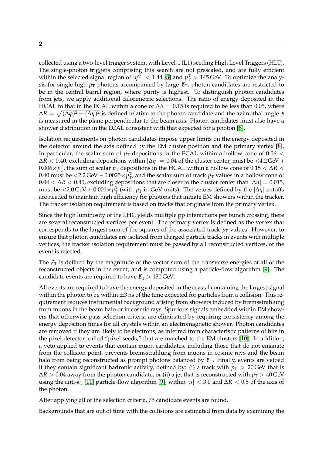collected using a two-level trigger system, with Level-1 (L1) seeding High Level Triggers (HLT). The single-photon triggers comprising this search are not prescaled, and are fully efficient within the selected signal region of  $|\eta^{\gamma}| < 1.44$  [\[8\]](#page-8-7) and  $p_T^{\gamma} > 145$  GeV. To optimize the analysis for single high- $p_T$  photons accompanied by large  $E_T$ , photon candidates are restricted to be in the central barrel region, where purity is highest. To distinguish photon candidates from jets, we apply additional calorimetric selections. The ratio of energy deposited in the HCAL to that in the ECAL within a cone of  $\Delta R = 0.15$  is required to be less than 0.05, where  $\Delta R = \sqrt{(\Delta \phi)^2 + (\Delta \eta)^2}$  is defined relative to the photon candidate and the azimuthal angle  $\phi$ is measured in the plane perpendicular to the beam axis. Photon candidates must also have a shower distribution in the ECAL consistent with that expected for a photon [\[8\]](#page-8-7).

Isolation requirements on photon candidates impose upper limits on the energy deposited in the detector around the axis defined by the EM cluster position and the primary vertex [\[8\]](#page-8-7). In particular, the scalar sum of  $p<sub>T</sub>$  depositions in the ECAL within a hollow cone of 0.06  $\lt$  $\Delta R < 0.40$ , excluding depositions within  $|\Delta \eta| = 0.04$  of the cluster center, must be <4.2 GeV +  $0.006 \times p_{\rm T}^{\gamma}$  $\gamma$ <sub>T</sub>, the sum of scalar  $p_T$  depositions in the HCAL within a hollow cone of 0.15 < ∆*R* < 0.40 must be  $\langle 2.2 \text{ GeV} + 0.0025 \times p_T^{\gamma}$  $T<sub>T</sub>$ , and the scalar sum of track  $p<sub>T</sub>$  values in a hollow cone of  $0.04 < \Delta R < 0.40$ , excluding depositions that are closer to the cluster center than  $|\Delta \eta| = 0.015$ , must be <2.0 GeV + 0.001×*p γ*  $T_T^{\gamma}$  (with  $p_T$  in GeV units). The vetoes defined by the  $|\Delta \eta|$  cutoffs are needed to maintain high efficiency for photons that initiate EM showers within the tracker. The tracker isolation requirement is based on tracks that originate from the primary vertex.

Since the high luminosity of the LHC yields multiple pp interactions per bunch crossing, there are several reconstructed vertices per event. The primary vertex is defined as the vertex that corresponds to the largest sum of the squares of the associated track- $p<sub>T</sub>$  values. However, to ensure that photon candidates are isolated from charged particle tracks in events with multiple vertices, the tracker isolation requirement must be passed by all reconstructed vertices, or the event is rejected.

The  $E_T$  is defined by the magnitude of the vector sum of the transverse energies of all of the reconstructed objects in the event, and is computed using a particle-flow algorithm [\[9\]](#page-8-8). The candidate events are required to have  $E_T > 130$  GeV.

All events are required to have the energy deposited in the crystal containing the largest signal within the photon to be within  $\pm 3$  ns of the time expected for particles from a collision. This requirement reduces instrumental background arising from showers induced by bremsstrahlung from muons in the beam halo or in cosmic rays. Spurious signals embedded within EM showers that otherwise pass selection criteria are eliminated by requiring consistency among the energy deposition times for all crystals within an electromagnetic shower. Photon candidates are removed if they are likely to be electrons, as inferred from characteristic patterns of hits in the pixel detector, called "pixel seeds," that are matched to the EM clusters [\[10\]](#page-8-9). In addition, a veto applied to events that contain muon candidates, including those that do not emanate from the collision point, prevents bremsstrahlung from muons in cosmic rays and the beam halo from being reconstructed as prompt photons balanced by  $E_T$ . Finally, events are vetoed if they contain significant hadronic activity, defined by: (i) a track with  $p_T > 20$  GeV that is  $\Delta R > 0.04$  away from the photon candidate, or (ii) a jet that is reconstructed with  $p_T > 40$  GeV using the anti- $k_T$  [\[11\]](#page-8-10) particle-flow algorithm [\[9\]](#page-8-8), within  $|\eta| < 3.0$  and  $\Delta R < 0.5$  of the axis of the photon.

After applying all of the selection criteria, 75 candidate events are found.

Backgrounds that are out of time with the collisions are estimated from data by examining the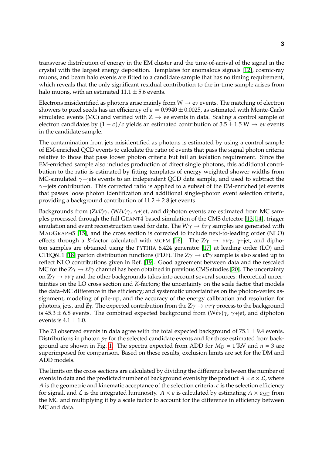transverse distribution of energy in the EM cluster and the time-of-arrival of the signal in the crystal with the largest energy deposition. Templates for anomalous signals [\[12\]](#page-8-11), cosmic-ray muons, and beam halo events are fitted to a candidate sample that has no timing requirement, which reveals that the only significant residual contribution to the in-time sample arises from halo muons, with an estimated  $11.1 \pm 5.6$  events.

Electrons misidentified as photons arise mainly from  $W \to e\nu$  events. The matching of electron showers to pixel seeds has an efficiency of  $\epsilon = 0.9940 \pm 0.0025$ , as estimated with Monte-Carlo simulated events (MC) and verified with  $Z \rightarrow$  ee events in data. Scaling a control sample of electron candidates by  $(1 - \epsilon)/\epsilon$  yields an estimated contribution of  $3.5 \pm 1.5$  W  $\rightarrow$  ev events in the candidate sample.

The contamination from jets misidentified as photons is estimated by using a control sample of EM-enriched QCD events to calculate the ratio of events that pass the signal photon criteria relative to those that pass looser photon criteria but fail an isolation requirement. Since the EM-enriched sample also includes production of direct single photons, this additional contribution to the ratio is estimated by fitting templates of energy-weighted shower widths from MC-simulated *γ*+jets events to an independent QCD data sample, and used to subtract the *γ*+jets contribution. This corrected ratio is applied to a subset of the EM-enriched jet events that passes loose photon identification and additional single-photon event selection criteria, providing a background contribution of  $11.2 \pm 2.8$  jet events.

Backgrounds from  $(Zv\overline{v})\gamma$ ,  $(W\ell v)\gamma$ ,  $\gamma$ +jet, and diphoton events are estimated from MC samples processed through the full GEANT4-based simulation of the CMS detector [\[13,](#page-8-12) [14\]](#page-8-13), trigger emulation and event reconstruction used for data. The  $W\gamma \to \ell \nu \gamma$  samples are generated with MADGRAPH5 [\[15\]](#page-8-14), and the cross section is corrected to include next-to-leading order (NLO) effects through a *K*-factor calculated with MCFM [\[16\]](#page-8-15). The  $Z\gamma \to \nu \bar{\nu} \gamma$ ,  $\gamma$ +jet, and diphoton samples are obtained using the PYTHIA 6.424 generator [\[17\]](#page-9-0) at leading order (LO) and CTEQ6L1 [\[18\]](#page-9-1) parton distribution functions (PDF). The Z*γ* → *ννγ* sample is also scaled up to reflect NLO contributions given in Ref. [\[19\]](#page-9-2). Good agreement between data and the rescaled MC for the  $Z\gamma \to \ell \ell \gamma$  channel has been obtained in previous CMS studies [\[20\]](#page-9-3). The uncertainty on  $Z\gamma \to \nu \bar{\nu} \gamma$  and the other backgrounds takes into account several sources: theoretical uncertainties on the LO cross section and *K*-factors; the uncertainty on the scale factor that models the data–MC difference in the efficiency; and systematic uncertainties on the photon-vertex assignment, modeling of pile-up, and the accuracy of the energy calibration and resolution for photons, jets, and  $E_T$ . The expected contribution from the  $Z\gamma \to \nu \bar{\nu} \gamma$  process to the background is  $45.3 \pm 6.8$  events. The combined expected background from  $(W \ell v) \gamma$ ,  $\gamma$ +jet, and diphoton events is  $4.1 \pm 1.0$ .

The 73 observed events in data agree with the total expected background of  $75.1 \pm 9.4$  events. Distributions in photon  $p<sub>T</sub>$  for the selected candidate events and for those estimated from back-ground are shown in Fig. [1.](#page-5-0) The spectra expected from ADD for  $M_D = 1 \text{ TeV}$  and  $n = 3$  are superimposed for comparison. Based on these results, exclusion limits are set for the DM and ADD models.

The limits on the cross sections are calculated by dividing the difference between the number of events in data and the predicted number of background events by the product  $A \times \epsilon \times \mathcal{L}$ , where *A* is the geometric and kinematic acceptance of the selection criteria,  $\epsilon$  is the selection efficiency for signal, and L is the integrated luminosity.  $A \times \epsilon$  is calculated by estimating  $A \times \epsilon_{MC}$  from the MC and multiplying it by a scale factor to account for the difference in efficiency between MC and data.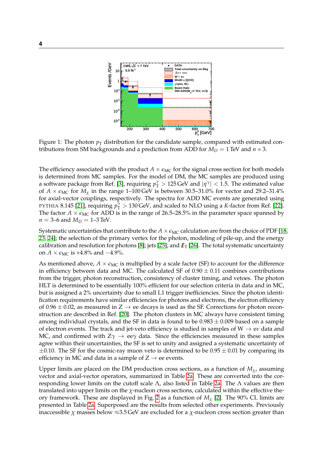<span id="page-5-0"></span>

Figure 1: The photon  $p<sub>T</sub>$  distribution for the candidate sample, compared with estimated contributions from SM backgrounds and a prediction from ADD for  $M_D = 1$  TeV and  $n = 3$ .

The efficiency associated with the product  $A \times \epsilon_{MC}$  for the signal cross section for both models is determined from MC samples. For the model of DM, the MC samples are produced using a software package from Ref. [\[3\]](#page-8-2), requiring  $p_T^\gamma > 125\,\text{GeV}$  and  $|\eta^\gamma| < 1.5$ . The estimated value of  $A \times \epsilon_{MC}$  for  $M_{\chi}$  in the range 1–100 GeV is between 30.5–31.0% for vector and 29.2–31.4% for axial-vector couplings, respectively. The spectra for ADD MC events are generated using PYTHIA 8.145 [\[21\]](#page-9-4), requiring  $p_T^{\gamma} > 130$  GeV, and scaled to NLO using a *K*-factor from Ref. [\[22\]](#page-9-5). The factor  $A \times \epsilon_{MC}$  for ADD is in the range of 26.5–28.5% in the parameter space spanned by  $n = 3-6$  and  $M_D = 1-3$  TeV.

Systematic uncertainties that contribute to the  $A \times \epsilon_{MC}$  calculation are from the choice of PDF [\[18,](#page-9-1) [23,](#page-9-6) [24\]](#page-9-7); the selection of the primary vertex for the photon, modeling of pile-up, and the energy calibration and resolution for photons [\[8\]](#page-8-7); jets [\[25\]](#page-9-8); and  $E_T$  [\[26\]](#page-9-9). The total systematic uncertainty on *A*  $\times$   $\epsilon_{MC}$  is +4.8% and −4.9%.

As mentioned above,  $A \times \epsilon_{MC}$  is multiplied by a scale factor (SF) to account for the difference in efficiency between data and MC. The calculated SF of  $0.90 \pm 0.11$  combines contributions from the trigger, photon reconstruction, consistency of cluster timing, and vetoes. The photon HLT is determined to be essentially 100% efficient for our selection criteria in data and in MC, but is assigned a 2% uncertainty due to small L1 trigger inefficiencies. Since the photon identification requirements have similar efficiencies for photons and electrons, the electron efficiency of 0.96  $\pm$  0.02, as measured in Z  $\rightarrow$  ee decays is used as the SF. Corrections for photon reconstruction are described in Ref. [\[20\]](#page-9-3). The photon clusters in MC always have consistent timing among individual crystals, and the SF in data is found to be  $0.983 \pm 0.009$  based on a sample of electron events. The track and jet-veto efficiency is studied in samples of  $W \rightarrow e \nu$  data and MC, and confirmed with  $Z\gamma \to e^{\alpha}$  data. Since the efficiencies measured in these samples agree within their uncertainties, the SF is set to unity and assigned a systematic uncertainty of  $\pm 0.10$ . The SF for the cosmic-ray muon veto is determined to be 0.95  $\pm$  0.01 by comparing its efficiency in MC and data in a sample of  $Z \rightarrow$  ee events.

Upper limits are placed on the DM production cross sections, as a function of *Mχ*, assuming vector and axial-vector operators, summarized in Table [2a.](#page-6-0) These are converted into the corresponding lower limits on the cutoff scale  $\Lambda$ , also listed in Table [2a.](#page-6-0) The  $\Lambda$  values are then translated into upper limits on the *χ*-nucleon cross sections, calculated within the effective theory framework. These are displayed in Fig. [2](#page-6-1) as a function of *M<sup>χ</sup>* [\[2\]](#page-8-1). The 90% CL limits are presented in Table [2a.](#page-6-0) Superposed are the results from selected other experiments. Previously inaccessible  $\chi$  masses below  $\approx$ 3.5 GeV are excluded for a  $\chi$ -nucleon cross section greater than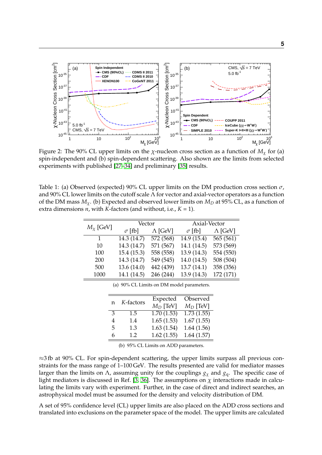<span id="page-6-1"></span>

Figure 2: The 90% CL upper limits on the *χ*-nucleon cross section as a function of  $M_\chi$  for (a) spin-independent and (b) spin-dependent scattering. Also shown are the limits from selected experiments with published [\[27](#page-9-10)[–34\]](#page-10-0) and preliminary [\[35\]](#page-10-1) results.

<span id="page-6-0"></span>Table 1: (a) Observed (expected) 90% CL upper limits on the DM production cross section *σ*, and 90% CL lower limits on the cutoff scale  $\Lambda$  for vector and axial-vector operators as a function of the DM mass  $M_\chi$ . (b) Expected and observed lower limits on  $M_D$  at 95% CL, as a function of extra dimensions *n*, with *K*-factors (and without, i.e., *K* = 1).

| $M_{\chi}$ [GeV] | Vector        |                 | Axial-Vector  |                 |
|------------------|---------------|-----------------|---------------|-----------------|
|                  | $\sigma$ [fb] | $\Lambda$ [GeV] | $\sigma$ [fb] | $\Lambda$ [GeV] |
| 1                | 14.3(14.7)    | 572 (568)       | 14.9 (15.4)   | 565 (561)       |
| 10               | 14.3 (14.7)   | 571 (567)       | 14.1(14.5)    | 573 (569)       |
| 100              | 15.4(15.3)    | 558 (558)       | 13.9 (14.3)   | 554 (550)       |
| 200              | 14.3 (14.7)   | 549 (545)       | 14.0(14.5)    | 508 (504)       |
| 500              | 13.6(14.0)    | 442 (439)       | 13.7(14.1)    | 358 (356)       |
| 1000             | 14.1(14.5)    | 246 (244)       | 13.9 (14.3)   | 172 (171)       |

(a) 90% CL Limits on DM model parameters.

| n | K-factors | Expected    | Observed    |
|---|-----------|-------------|-------------|
|   |           | $M_D$ [TeV] | $M_D$ [TeV] |
| 3 | 1.5       | 1.70(1.53)  | 1.73(1.55)  |
| 4 | 1.4       | 1.65(1.53)  | 1.67(1.55)  |
| 5 | 1.3       | 1.63(1.54)  | 1.64(1.56)  |
| 6 | 1.2       | 1.62(1.55)  | 1.64(1.57)  |

(b) 95% CL Limits on ADD parameters.

<span id="page-6-2"></span> $\approx$ 3 fb at 90% CL. For spin-dependent scattering, the upper limits surpass all previous constraints for the mass range of 1–100 GeV. The results presented are valid for mediator masses larger than the limits on  $\Lambda$ , assuming unity for the couplings  $g_{\chi}$  and  $g_q$ . The specific case of light mediators is discussed in Ref. [\[3,](#page-8-2) [36\]](#page-10-2). The assumptions on  $\chi$  interactions made in calculating the limits vary with experiment. Further, in the case of direct and indirect searches, an astrophysical model must be assumed for the density and velocity distribution of DM.

A set of 95% confidence level (CL) upper limits are also placed on the ADD cross sections and translated into exclusions on the parameter space of the model. The upper limits are calculated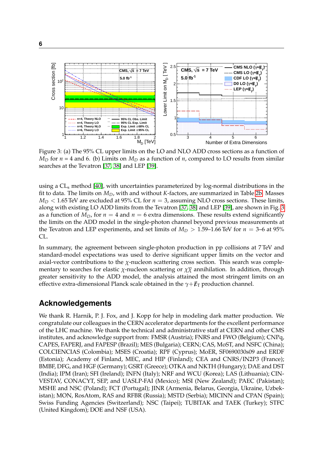<span id="page-7-0"></span>

Figure 3: (a) The 95% CL upper limits on the LO and NLO ADD cross sections as a function of  $M_D$  for  $n = 4$  and 6. (b) Limits on  $M_D$  as a function of *n*, compared to LO results from similar searches at the Tevatron [\[37,](#page-10-3) [38\]](#page-10-4) and LEP [\[39\]](#page-10-5).

using a  $CL<sub>s</sub>$  method [\[40\]](#page-10-6), with uncertainties parameterized by log-normal distributions in the fit to data. The limits on *MD*, with and without *K*-factors, are summarized in Table [2b.](#page-6-2) Masses  $M_D < 1.65$  TeV are excluded at 95% CL for  $n = 3$ , assuming NLO cross sections. These limits, along with existing LO ADD limits from the Tevatron [\[37,](#page-10-3) [38\]](#page-10-4) and LEP [\[39\]](#page-10-5), are shown in Fig. [3](#page-7-0) as a function of  $M_D$ , for  $n = 4$  and  $n = 6$  extra dimensions. These results extend significantly the limits on the ADD model in the single-photon channel beyond previous measurements at the Tevatron and LEP experiments, and set limits of  $M_D > 1.59$ –1.66 TeV for  $n = 3$ –6 at 95% CL.

In summary, the agreement between single-photon production in pp collisions at 7 TeV and standard-model expectations was used to derive significant upper limits on the vector and axial-vector contributions to the *χ*-nucleon scattering cross section. This search was complementary to searches for elastic *χ*-nucleon scattering or  $\chi \overline{\chi}$  annihilation. In addition, through greater sensitivity to the ADD model, the analysis attained the most stringent limits on an effective extra-dimensional Planck scale obtained in the  $\gamma + \mathcal{E}_T$  production channel.

## **Acknowledgements**

We thank R. Harnik, P. J. Fox, and J. Kopp for help in modeling dark matter production. We congratulate our colleagues in the CERN accelerator departments for the excellent performance of the LHC machine. We thank the technical and administrative staff at CERN and other CMS institutes, and acknowledge support from: FMSR (Austria); FNRS and FWO (Belgium); CNPq, CAPES, FAPERJ, and FAPESP (Brazil); MES (Bulgaria); CERN; CAS, MoST, and NSFC (China); COLCIENCIAS (Colombia); MSES (Croatia); RPF (Cyprus); MoER, SF0690030s09 and ERDF (Estonia); Academy of Finland, MEC, and HIP (Finland); CEA and CNRS/IN2P3 (France); BMBF, DFG, and HGF (Germany); GSRT (Greece); OTKA and NKTH (Hungary); DAE and DST (India); IPM (Iran); SFI (Ireland); INFN (Italy); NRF and WCU (Korea); LAS (Lithuania); CIN-VESTAV, CONACYT, SEP, and UASLP-FAI (Mexico); MSI (New Zealand); PAEC (Pakistan); MSHE and NSC (Poland); FCT (Portugal); JINR (Armenia, Belarus, Georgia, Ukraine, Uzbekistan); MON, RosAtom, RAS and RFBR (Russia); MSTD (Serbia); MICINN and CPAN (Spain); Swiss Funding Agencies (Switzerland); NSC (Taipei); TUBITAK and TAEK (Turkey); STFC (United Kingdom); DOE and NSF (USA).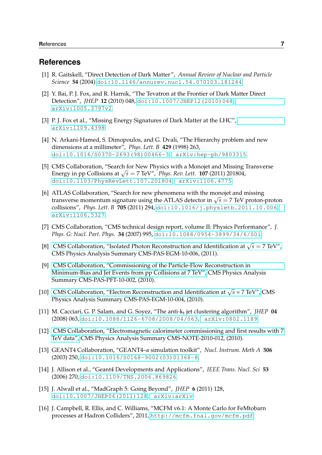## **References**

- <span id="page-8-0"></span>[1] R. Gaitskell, "Direct Detection of Dark Matter", *Annual Review of Nuclear and Particle Science* **54** (2004) [doi:10.1146/annurev.nucl.54.070103.181244](http://dx.doi.org/10.1146/annurev.nucl.54.070103.181244).
- <span id="page-8-1"></span>[2] Y. Bai, P. J. Fox, and R. Harnik, "The Tevatron at the Frontier of Dark Matter Direct Detection", *JHEP* **12** (2010) 048, [doi:10.1007/JHEP12\(2010\)048](http://dx.doi.org/10.1007/JHEP12(2010)048), [arXiv:1005.3797v2](http://www.arXiv.org/abs/1005.3797v2).
- <span id="page-8-2"></span>[3] P. J. Fox et al., "Missing Energy Signatures of Dark Matter at the LHC", [arXiv:1109.4398](http://www.arXiv.org/abs/1109.4398).
- <span id="page-8-3"></span>[4] N. Arkani-Hamed, S. Dimopoulos, and G. Dvali, "The Hierarchy problem and new dimensions at a millimeter", *Phys. Lett. B* **429** (1998) 263, [doi:10.1016/S0370-2693\(98\)00466-3](http://dx.doi.org/10.1016/S0370-2693(98)00466-3), [arXiv:hep-ph/9803315](http://www.arXiv.org/abs/hep-ph/9803315).
- <span id="page-8-4"></span>[5] CMS Collaboration, "Search for New Physics with a Monojet and Missing Transverse Energy in pp Collisions at <sup>√</sup> *s* = 7 TeV", *Phys. Rev. Lett.* **107** (2011) 201804, [doi:10.1103/PhysRevLett.107.201804](http://dx.doi.org/10.1103/PhysRevLett.107.201804), [arXiv:1106.4775](http://www.arXiv.org/abs/1106.4775).
- <span id="page-8-5"></span>[6] ATLAS Collaboration, "Search for new phenomena with the monojet and missing transverse momentum signature using the ATLAS detector in <sup>√</sup> *s* = 7 TeV proton-proton collisions", *Phys. Lett. B* **705** (2011) 294, [doi:10.1016/j.physletb.2011.10.006](http://dx.doi.org/10.1016/j.physletb.2011.10.006), [arXiv:1106.5327](http://www.arXiv.org/abs/1106.5327).
- <span id="page-8-6"></span>[7] CMS Collaboration, "CMS technical design report, volume II: Physics Performance", *J. Phys. G: Nucl. Part. Phys.* **34** (2007) 995, [doi:10.1088/0954-3899/34/6/S01](http://dx.doi.org/10.1088/0954-3899/34/6/S01).
- <span id="page-8-7"></span>[8] [CMS Collaboration, "Isolated Photon Reconstruction and Identification at](http://cdsweb.cern.ch/record/1324545)  $\sqrt{s} = 7$  TeV", CMS Physics Analysis Summary CMS-PAS-EGM-10-006, (2011).
- <span id="page-8-8"></span>[9] [CMS Collaboration, "Commissioning of the Particle-Flow Reconstruction in](http://cdsweb.cern.ch/record/1279341) [Minimum-Bias and Jet Events from pp Collisions at 7 TeV",](http://cdsweb.cern.ch/record/1279341) CMS Physics Analysis Summary CMS-PAS-PFT-10-002, (2010).
- <span id="page-8-9"></span>[10] [CMS Collaboration, "Electron Reconstruction and Identification at](http://cdsweb.cern.ch/record/1299116)  $\sqrt{s}$  = 7 TeV", CMS Physics Analysis Summary CMS-PAS-EGM-10-004, (2010).
- <span id="page-8-10"></span>[11] M. Cacciari, G. P. Salam, and G. Soyez, "The anti-k<sup>t</sup> jet clustering algorithm", *JHEP* **04** (2008) 063, [doi:10.1088/1126-6708/2008/04/063](http://dx.doi.org/10.1088/1126-6708/2008/04/063), [arXiv:0802.1189](http://www.arXiv.org/abs/0802.1189).
- <span id="page-8-11"></span>[12] [CMS Collaboration, "Electromagnetic calorimeter commissioning and first results with 7](http://cdsweb.cern.ch/record/1278160) [TeV data",](http://cdsweb.cern.ch/record/1278160) CMS Physics Analysis Summary CMS-NOTE-2010-012, (2010).
- <span id="page-8-12"></span>[13] GEANT4 Collaboration, "GEANT4–a simulation toolkit", *Nucl. Instrum. Meth A* **506** (2003) 250, [doi:10.1016/S0168-9002\(03\)01368-8](http://dx.doi.org/10.1016/S0168-9002(03)01368-8).
- <span id="page-8-13"></span>[14] J. Allison et al., "Geant4 Developments and Applications", *IEEE Trans. Nucl. Sci* **53** (2006) 270, [doi:10.1109/TNS.2006.869826](http://dx.doi.org/10.1109/TNS.2006.869826).
- <span id="page-8-14"></span>[15] J. Alwall et al., "MadGraph 5: Going Beyond", *JHEP* **6** (2011) 128, [doi:10.1007/JHEP06\(2011\)128](http://dx.doi.org/10.1007/JHEP06(2011)128), [arXiv:arXiv](http://www.arXiv.org/abs/arXiv).
- <span id="page-8-15"></span>[16] J. Campbell, R. Ellis, and C. Williams, "MCFM v6.1: A Monte Carlo for FeMtobarn processes at Hadron Colliders", 2011, <http://mcfm.fnal.gov/mcfm.pdf>.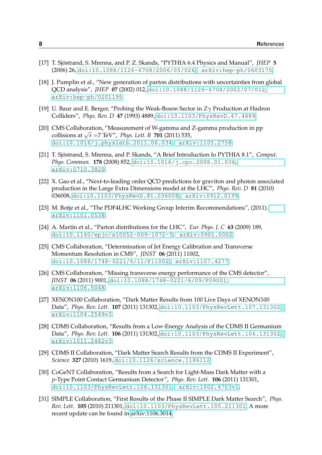- <span id="page-9-0"></span>[17] T. Sjöstrand, S. Mrenna, and P. Z. Skands, "PYTHIA 6.4 Physics and Manual", *JHEP* 5 (2006) 26, [doi:10.1088/1126-6708/2006/05/026](http://dx.doi.org/10.1088/1126-6708/2006/05/026), [arXiv:hep-ph/0603175](http://www.arXiv.org/abs/hep-ph/0603175).
- <span id="page-9-1"></span>[18] J. Pumplin et al., "New generation of parton distributions with uncertainties from global QCD analysis", *JHEP* **07** (2002) 012, [doi:10.1088/1126-6708/2002/07/012](http://dx.doi.org/10.1088/1126-6708/2002/07/012), [arXiv:hep-ph/0201195](http://www.arXiv.org/abs/hep-ph/0201195).
- <span id="page-9-2"></span>[19] U. Baur and E. Berger, "Probing the Weak-Boson Sector in *Zγ* Production at Hadron Colliders", *Phys. Rev. D* **47** (1993) 4889, [doi:10.1103/PhysRevD.47.4889](http://dx.doi.org/10.1103/PhysRevD.47.4889).
- <span id="page-9-3"></span>[20] CMS Collaboration, "Measurement of W-gamma and Z-gamma production in pp  $\chi$ <sup>2</sup> collisions at  $\sqrt{s}$  =7 TeV", *Phys. Lett. B* **701** (2011) 535, [doi:10.1016/j.physletb.2011.06.034](http://dx.doi.org/10.1016/j.physletb.2011.06.034), [arXiv:1105.2758](http://www.arXiv.org/abs/1105.2758).
- <span id="page-9-4"></span>[21] T. Sjöstrand, S. Mrenna, and P. Skands, "A Brief Introduction fo PYTHIA 8.1", *Comput. Phys. Commun.* **178** (2008) 852, [doi:10.1016/j.cpc.2008.01.036](http://dx.doi.org/10.1016/j.cpc.2008.01.036), [arXiv:0710.3820](http://www.arXiv.org/abs/0710.3820).
- <span id="page-9-5"></span>[22] X. Gao et al., "Next-to-leading order QCD predictions for graviton and photon associated production in the Large Extra Dimensions model at the LHC", *Phys. Rev. D* **81** (2010) 036008, [doi:10.1103/PhysRevD.81.036008](http://dx.doi.org/10.1103/PhysRevD.81.036008), [arXiv:0912.0199](http://www.arXiv.org/abs/0912.0199).
- <span id="page-9-6"></span>[23] M. Botje et al., "The PDF4LHC Working Group Interim Recommendations", (2011). [arXiv:1101.0538](http://www.arXiv.org/abs/1101.0538).
- <span id="page-9-7"></span>[24] A. Martin et al., "Parton distributions for the LHC", *Eur. Phys. J. C* **63** (2009) 189, [doi:10.1140/epjc/s10052-009-1072-5](http://dx.doi.org/10.1140/epjc/s10052-009-1072-5), [arXiv:0901.0002](http://www.arXiv.org/abs/0901.0002).
- <span id="page-9-8"></span>[25] CMS Collaboration, "Determination of Jet Energy Calibration and Transverse Momentum Resolution in CMS", *JINST* **06** (2011) 11002, [doi:10.1088/1748-0221/6/11/P11002](http://dx.doi.org/10.1088/1748-0221/6/11/P11002), [arXiv:1107.4277](http://www.arXiv.org/abs/1107.4277).
- <span id="page-9-9"></span>[26] CMS Collaboration, "Missing transverse energy performance of the CMS detector", *JINST* **06** (2011) 9001, [doi:10.1088/1748-0221/6/09/P09001](http://dx.doi.org/10.1088/1748-0221/6/09/P09001), [arXiv:1106.5048](http://www.arXiv.org/abs/1106.5048).
- <span id="page-9-10"></span>[27] XENON100 Collaboration, "Dark Matter Results from 100 Live Days of XENON100 Data", *Phys. Rev. Lett.* **107** (2011) 131302, [doi:10.1103/PhysRevLett.107.131302](http://dx.doi.org/10.1103/PhysRevLett.107.131302), [arXiv:1104.2549v3](http://www.arXiv.org/abs/1104.2549v3).
- [28] CDMS Collaboration, "Results from a Low-Energy Analysis of the CDMS II Germanium Data", *Phys. Rev. Lett.* **106** (2011) 131302, [doi:10.1103/PhysRevLett.106.131302](http://dx.doi.org/10.1103/PhysRevLett.106.131302), [arXiv:1011.2482v3](http://www.arXiv.org/abs/1011.2482v3).
- [29] CDMS II Collaboration, "Dark Matter Search Results from the CDMS II Experiment", *Science* **327** (2010) 1619, [doi:10.1126/science.1186112](http://dx.doi.org/10.1126/science.1186112).
- [30] CoGeNT Collaboration, "Results from a Search for Light-Mass Dark Matter with a *p*-Type Point Contact Germanium Detector", *Phys. Rev. Lett.* **106** (2011) 131301, [doi:10.1103/PhysRevLett.106.131301](http://dx.doi.org/10.1103/PhysRevLett.106.131301), [arXiv:1002.4703v1](http://www.arXiv.org/abs/1002.4703v1).
- [31] SIMPLE Collaboration, "First Results of the Phase II SIMPLE Dark Matter Search", *Phys. Rev. Lett.* **105** (2010) 211301, [doi:10.1103/PhysRevLett.105.211301](http://dx.doi.org/10.1103/PhysRevLett.105.211301). A more recent update can be found in [arXiv:1106.3014.](http://arxiv.org/abs/1106.3014)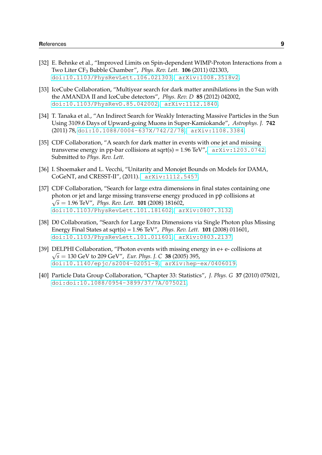- [32] E. Behnke et al., "Improved Limits on Spin-dependent WIMP-Proton Interactions from a Two Liter CF<sup>3</sup> Bubble Chamber", *Phys. Rev. Lett.* **106** (2011) 021303, [doi:10.1103/PhysRevLett.106.021303](http://dx.doi.org/10.1103/PhysRevLett.106.021303), [arXiv:1008.3518v2](http://www.arXiv.org/abs/1008.3518v2).
- [33] IceCube Collaboration, "Multiyear search for dark matter annihilations in the Sun with the AMANDA II and IceCube detectors", *Phys. Rev. D* **85** (2012) 042002, [doi:10.1103/PhysRevD.85.042002](http://dx.doi.org/10.1103/PhysRevD.85.042002), [arXiv:1112.1840](http://www.arXiv.org/abs/1112.1840).
- <span id="page-10-0"></span>[34] T. Tanaka et al., "An Indirect Search for Weakly Interacting Massive Particles in the Sun Using 3109.6 Days of Upward-going Muons in Super-Kamiokande", *Astrophys. J.* **742** (2011) 78, [doi:10.1088/0004-637X/742/2/78](http://dx.doi.org/10.1088/0004-637X/742/2/78), [arXiv:1108.3384](http://www.arXiv.org/abs/1108.3384).
- <span id="page-10-1"></span>[35] CDF Collaboration, "A search for dark matter in events with one jet and missing transverse energy in pp-bar collisions at sqrt(s) =  $1.96$  TeV",  $arXiv:1203.0742$ . Submitted to *Phys. Rev. Lett.*
- <span id="page-10-2"></span>[36] I. Shoemaker and L. Vecchi, "Unitarity and Monojet Bounds on Models for DAMA, CoGeNT, and CRESST-II", (2011). [arXiv:1112.5457](http://www.arXiv.org/abs/1112.5457).
- <span id="page-10-3"></span>[37] CDF Collaboration, "Search for large extra dimensions in final states containing one photon or jet and large missing transverse energy produced in pp collisions at  $\sqrt{s} = 1.96$  TeV", *Phys. Rev. Lett.* **101** (2008) 181602, [doi:10.1103/PhysRevLett.101.181602](http://dx.doi.org/10.1103/PhysRevLett.101.181602), [arXiv:0807.3132](http://www.arXiv.org/abs/0807.3132).
- <span id="page-10-4"></span>[38] D0 Collaboration, "Search for Large Extra Dimensions via Single Photon plus Missing Energy Final States at sqrt(s) = 1.96 TeV", *Phys. Rev. Lett.* **101** (2008) 011601, [doi:10.1103/PhysRevLett.101.011601](http://dx.doi.org/10.1103/PhysRevLett.101.011601), [arXiv:0803.2137](http://www.arXiv.org/abs/0803.2137).
- <span id="page-10-5"></span>[39] DELPHI Collaboration, "Photon events with missing energy in e+ e- collisions at  $\sqrt{s}$  = 130 GeV to 209 GeV", *Eur. Phys. J. C* 38 (2005) 395, [doi:10.1140/epjc/s2004-02051-8](http://dx.doi.org/10.1140/epjc/s2004-02051-8), [arXiv:hep-ex/0406019](http://www.arXiv.org/abs/hep-ex/0406019).
- <span id="page-10-6"></span>[40] Particle Data Group Collaboration, "Chapter 33: Statistics", *J. Phys. G* **37** (2010) 075021, [doi:doi:10.1088/0954-3899/37/7A/075021](http://dx.doi.org/doi:10.1088/0954-3899/37/7A/075021).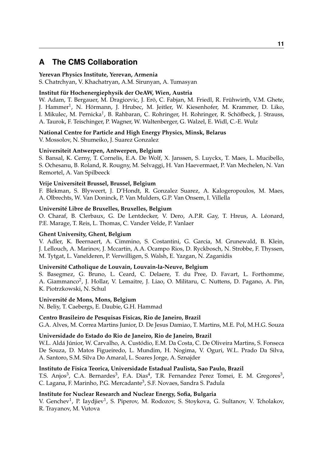## <span id="page-12-0"></span>**A The CMS Collaboration**

#### **Yerevan Physics Institute, Yerevan, Armenia**

S. Chatrchyan, V. Khachatryan, A.M. Sirunyan, A. Tumasyan

## Institut für Hochenergiephysik der OeAW, Wien, Austria

W. Adam, T. Bergauer, M. Dragicevic, J. Erö, C. Fabjan, M. Friedl, R. Frühwirth, V.M. Ghete, J. Hammer<sup>1</sup>, N. Hörmann, J. Hrubec, M. Jeitler, W. Kiesenhofer, M. Krammer, D. Liko, I. Mikulec, M. Pernicka<sup>†</sup>, B. Rahbaran, C. Rohringer, H. Rohringer, R. Schöfbeck, J. Strauss, A. Taurok, F. Teischinger, P. Wagner, W. Waltenberger, G. Walzel, E. Widl, C.-E. Wulz

**National Centre for Particle and High Energy Physics, Minsk, Belarus**

V. Mossolov, N. Shumeiko, J. Suarez Gonzalez

## **Universiteit Antwerpen, Antwerpen, Belgium**

S. Bansal, K. Cerny, T. Cornelis, E.A. De Wolf, X. Janssen, S. Luyckx, T. Maes, L. Mucibello, S. Ochesanu, B. Roland, R. Rougny, M. Selvaggi, H. Van Haevermaet, P. Van Mechelen, N. Van Remortel, A. Van Spilbeeck

## **Vrije Universiteit Brussel, Brussel, Belgium**

F. Blekman, S. Blyweert, J. D'Hondt, R. Gonzalez Suarez, A. Kalogeropoulos, M. Maes, A. Olbrechts, W. Van Doninck, P. Van Mulders, G.P. Van Onsem, I. Villella

## **Universit´e Libre de Bruxelles, Bruxelles, Belgium**

O. Charaf, B. Clerbaux, G. De Lentdecker, V. Dero, A.P.R. Gay, T. Hreus, A. Léonard, P.E. Marage, T. Reis, L. Thomas, C. Vander Velde, P. Vanlaer

## **Ghent University, Ghent, Belgium**

V. Adler, K. Beernaert, A. Cimmino, S. Costantini, G. Garcia, M. Grunewald, B. Klein, J. Lellouch, A. Marinov, J. Mccartin, A.A. Ocampo Rios, D. Ryckbosch, N. Strobbe, F. Thyssen, M. Tytgat, L. Vanelderen, P. Verwilligen, S. Walsh, E. Yazgan, N. Zaganidis

## **Universit´e Catholique de Louvain, Louvain-la-Neuve, Belgium**

S. Basegmez, G. Bruno, L. Ceard, C. Delaere, T. du Pree, D. Favart, L. Forthomme, A. Giammanco<sup>2</sup>, J. Hollar, V. Lemaitre, J. Liao, O. Militaru, C. Nuttens, D. Pagano, A. Pin, K. Piotrzkowski, N. Schul

**Universit´e de Mons, Mons, Belgium** N. Beliy, T. Caebergs, E. Daubie, G.H. Hammad

## **Centro Brasileiro de Pesquisas Fisicas, Rio de Janeiro, Brazil**

G.A. Alves, M. Correa Martins Junior, D. De Jesus Damiao, T. Martins, M.E. Pol, M.H.G. Souza

## **Universidade do Estado do Rio de Janeiro, Rio de Janeiro, Brazil**

W.L. Aldá Júnior, W. Carvalho, A. Custódio, E.M. Da Costa, C. De Oliveira Martins, S. Fonseca De Souza, D. Matos Figueiredo, L. Mundim, H. Nogima, V. Oguri, W.L. Prado Da Silva, A. Santoro, S.M. Silva Do Amaral, L. Soares Jorge, A. Sznajder

## **Instituto de Fisica Teorica, Universidade Estadual Paulista, Sao Paulo, Brazil**

T.S. Anjos<sup>3</sup>, C.A. Bernardes<sup>3</sup>, F.A. Dias<sup>4</sup>, T.R. Fernandez Perez Tomei, E. M. Gregores<sup>3</sup>, C. Lagana, F. Marinho, P.G. Mercadante<sup>3</sup>, S.F. Novaes, Sandra S. Padula

## **Institute for Nuclear Research and Nuclear Energy, Sofia, Bulgaria**

V. Genchev<sup>1</sup>, P. Iaydjiev<sup>1</sup>, S. Piperov, M. Rodozov, S. Stoykova, G. Sultanov, V. Tcholakov, R. Trayanov, M. Vutova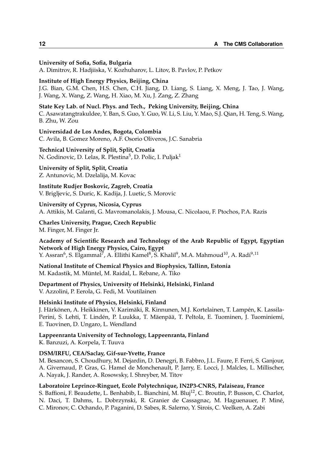#### **University of Sofia, Sofia, Bulgaria**

A. Dimitrov, R. Hadjiiska, V. Kozhuharov, L. Litov, B. Pavlov, P. Petkov

### **Institute of High Energy Physics, Beijing, China**

J.G. Bian, G.M. Chen, H.S. Chen, C.H. Jiang, D. Liang, S. Liang, X. Meng, J. Tao, J. Wang, J. Wang, X. Wang, Z. Wang, H. Xiao, M. Xu, J. Zang, Z. Zhang

### **State Key Lab. of Nucl. Phys. and Tech., Peking University, Beijing, China** C. Asawatangtrakuldee, Y. Ban, S. Guo, Y. Guo, W. Li, S. Liu, Y. Mao, S.J. Qian, H. Teng, S. Wang, B. Zhu, W. Zou

**Universidad de Los Andes, Bogota, Colombia** C. Avila, B. Gomez Moreno, A.F. Osorio Oliveros, J.C. Sanabria

**Technical University of Split, Split, Croatia** N. Godinovic, D. Lelas, R. Plestina<sup>5</sup>, D. Polic, I. Puljak<sup>1</sup>

**University of Split, Split, Croatia** Z. Antunovic, M. Dzelalija, M. Kovac

**Institute Rudjer Boskovic, Zagreb, Croatia** V. Brigljevic, S. Duric, K. Kadija, J. Luetic, S. Morovic

#### **University of Cyprus, Nicosia, Cyprus**

A. Attikis, M. Galanti, G. Mavromanolakis, J. Mousa, C. Nicolaou, F. Ptochos, P.A. Razis

**Charles University, Prague, Czech Republic** M. Finger, M. Finger Jr.

## **Academy of Scientific Research and Technology of the Arab Republic of Egypt, Egyptian Network of High Energy Physics, Cairo, Egypt** Y. Assran<sup>6</sup>, S. Elgammal<sup>7</sup>, A. Ellithi Kamel<sup>8</sup>, S. Khalil<sup>9</sup>, M.A. Mahmoud<sup>10</sup>, A. Radi<sup>9,11</sup>

**National Institute of Chemical Physics and Biophysics, Tallinn, Estonia** M. Kadastik, M. Müntel, M. Raidal, L. Rebane, A. Tiko

**Department of Physics, University of Helsinki, Helsinki, Finland** V. Azzolini, P. Eerola, G. Fedi, M. Voutilainen

#### **Helsinki Institute of Physics, Helsinki, Finland**

J. Härkönen, A. Heikkinen, V. Karimäki, R. Kinnunen, M.J. Kortelainen, T. Lampén, K. Lassila-Perini, S. Lehti, T. Lindén, P. Luukka, T. Mäenpää, T. Peltola, E. Tuominen, J. Tuominiemi, E. Tuovinen, D. Ungaro, L. Wendland

**Lappeenranta University of Technology, Lappeenranta, Finland** K. Banzuzi, A. Korpela, T. Tuuva

#### **DSM/IRFU, CEA/Saclay, Gif-sur-Yvette, France**

M. Besancon, S. Choudhury, M. Dejardin, D. Denegri, B. Fabbro, J.L. Faure, F. Ferri, S. Ganjour, A. Givernaud, P. Gras, G. Hamel de Monchenault, P. Jarry, E. Locci, J. Malcles, L. Millischer, A. Nayak, J. Rander, A. Rosowsky, I. Shreyber, M. Titov

#### **Laboratoire Leprince-Ringuet, Ecole Polytechnique, IN2P3-CNRS, Palaiseau, France**

S. Baffioni, F. Beaudette, L. Benhabib, L. Bianchini, M. Bluj<sup>12</sup>, C. Broutin, P. Busson, C. Charlot, N. Daci, T. Dahms, L. Dobrzynski, R. Granier de Cassagnac, M. Haguenauer, P. Miné, C. Mironov, C. Ochando, P. Paganini, D. Sabes, R. Salerno, Y. Sirois, C. Veelken, A. Zabi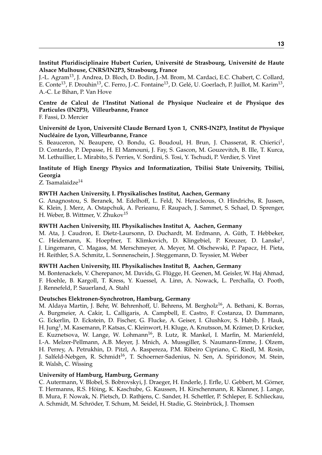Institut Pluridisciplinaire Hubert Curien, Université de Strasbourg, Université de Haute **Alsace Mulhouse, CNRS/IN2P3, Strasbourg, France**

J.-L. Agram<sup>13</sup>, J. Andrea, D. Bloch, D. Bodin, J.-M. Brom, M. Cardaci, E.C. Chabert, C. Collard, E. Conte<sup>13</sup>, F. Drouhin<sup>13</sup>, C. Ferro, J.-C. Fontaine<sup>13</sup>, D. Gelé, U. Goerlach, P. Juillot, M. Karim<sup>13</sup>, A.-C. Le Bihan, P. Van Hove

**Centre de Calcul de l'Institut National de Physique Nucleaire et de Physique des Particules (IN2P3), Villeurbanne, France**

F. Fassi, D. Mercier

## Université de Lyon, Université Claude Bernard Lyon 1, CNRS-IN2P3, Institut de Physique **Nucl´eaire de Lyon, Villeurbanne, France**

S. Beauceron, N. Beaupere, O. Bondu, G. Boudoul, H. Brun, J. Chasserat, R. Chierici<sup>1</sup>, D. Contardo, P. Depasse, H. El Mamouni, J. Fay, S. Gascon, M. Gouzevitch, B. Ille, T. Kurca, M. Lethuillier, L. Mirabito, S. Perries, V. Sordini, S. Tosi, Y. Tschudi, P. Verdier, S. Viret

## **Institute of High Energy Physics and Informatization, Tbilisi State University, Tbilisi, Georgia**

Z. Tsamalaidze<sup>14</sup>

## **RWTH Aachen University, I. Physikalisches Institut, Aachen, Germany**

G. Anagnostou, S. Beranek, M. Edelhoff, L. Feld, N. Heracleous, O. Hindrichs, R. Jussen, K. Klein, J. Merz, A. Ostapchuk, A. Perieanu, F. Raupach, J. Sammet, S. Schael, D. Sprenger, H. Weber, B. Wittmer, V. Zhukov<sup>15</sup>

#### **RWTH Aachen University, III. Physikalisches Institut A, Aachen, Germany**

M. Ata, J. Caudron, E. Dietz-Laursonn, D. Duchardt, M. Erdmann, A. Güth, T. Hebbeker, C. Heidemann, K. Hoepfner, T. Klimkovich, D. Klingebiel, P. Kreuzer, D. Lanske† , J. Lingemann, C. Magass, M. Merschmeyer, A. Meyer, M. Olschewski, P. Papacz, H. Pieta, H. Reithler, S.A. Schmitz, L. Sonnenschein, J. Steggemann, D. Teyssier, M. Weber

### **RWTH Aachen University, III. Physikalisches Institut B, Aachen, Germany**

M. Bontenackels, V. Cherepanov, M. Davids, G. Flugge, H. Geenen, M. Geisler, W. Haj Ahmad, ¨ F. Hoehle, B. Kargoll, T. Kress, Y. Kuessel, A. Linn, A. Nowack, L. Perchalla, O. Pooth, J. Rennefeld, P. Sauerland, A. Stahl

## **Deutsches Elektronen-Synchrotron, Hamburg, Germany**

M. Aldaya Martin, J. Behr, W. Behrenhoff, U. Behrens, M. Bergholz<sup>16</sup>, A. Bethani, K. Borras, A. Burgmeier, A. Cakir, L. Calligaris, A. Campbell, E. Castro, F. Costanza, D. Dammann, G. Eckerlin, D. Eckstein, D. Fischer, G. Flucke, A. Geiser, I. Glushkov, S. Habib, J. Hauk, H. Jung<sup>1</sup>, M. Kasemann, P. Katsas, C. Kleinwort, H. Kluge, A. Knutsson, M. Krämer, D. Krücker, E. Kuznetsova, W. Lange, W. Lohmann<sup>16</sup>, B. Lutz, R. Mankel, I. Marfin, M. Marienfeld, I.-A. Melzer-Pellmann, A.B. Meyer, J. Mnich, A. Mussgiller, S. Naumann-Emme, J. Olzem, H. Perrey, A. Petrukhin, D. Pitzl, A. Raspereza, P.M. Ribeiro Cipriano, C. Riedl, M. Rosin, J. Salfeld-Nebgen, R. Schmidt<sup>16</sup>, T. Schoerner-Sadenius, N. Sen, A. Spiridonov, M. Stein, R. Walsh, C. Wissing

#### **University of Hamburg, Hamburg, Germany**

C. Autermann, V. Blobel, S. Bobrovskyi, J. Draeger, H. Enderle, J. Erfle, U. Gebbert, M. Görner,

T. Hermanns, R.S. Höing, K. Kaschube, G. Kaussen, H. Kirschenmann, R. Klanner, J. Lange,

B. Mura, F. Nowak, N. Pietsch, D. Rathjens, C. Sander, H. Schettler, P. Schleper, E. Schlieckau,

A. Schmidt, M. Schröder, T. Schum, M. Seidel, H. Stadie, G. Steinbrück, J. Thomsen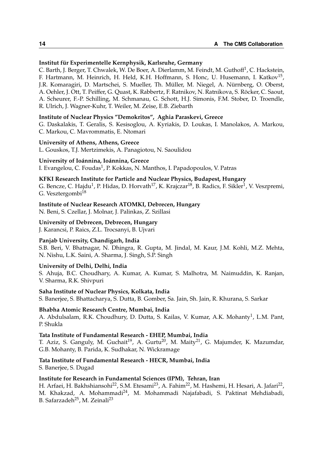## Institut für Experimentelle Kernphysik, Karlsruhe, Germany

C. Barth, J. Berger, T. Chwalek, W. De Boer, A. Dierlamm, M. Feindt, M. Guthoff<sup>1</sup>, C. Hackstein, F. Hartmann, M. Heinrich, H. Held, K.H. Hoffmann, S. Honc, U. Husemann, I. Katkov<sup>15</sup>, J.R. Komaragiri, D. Martschei, S. Mueller, Th. Müller, M. Niegel, A. Nürnberg, O. Oberst, A. Oehler, J. Ott, T. Peiffer, G. Quast, K. Rabbertz, F. Ratnikov, N. Ratnikova, S. Röcker, C. Saout, A. Scheurer, F.-P. Schilling, M. Schmanau, G. Schott, H.J. Simonis, F.M. Stober, D. Troendle, R. Ulrich, J. Wagner-Kuhr, T. Weiler, M. Zeise, E.B. Ziebarth

## **Institute of Nuclear Physics "Demokritos", Aghia Paraskevi, Greece**

G. Daskalakis, T. Geralis, S. Kesisoglou, A. Kyriakis, D. Loukas, I. Manolakos, A. Markou, C. Markou, C. Mavrommatis, E. Ntomari

#### **University of Athens, Athens, Greece**

L. Gouskos, T.J. Mertzimekis, A. Panagiotou, N. Saoulidou

#### **University of Ioánnina, Ioánnina, Greece**

I. Evangelou, C. Foudas<sup>1</sup>, P. Kokkas, N. Manthos, I. Papadopoulos, V. Patras

### **KFKI Research Institute for Particle and Nuclear Physics, Budapest, Hungary**

G. Bencze, C. Hajdu<sup>1</sup>, P. Hidas, D. Horvath<sup>17</sup>, K. Krajczar<sup>18</sup>, B. Radics, F. Sikler<sup>1</sup>, V. Veszpremi, G. Vesztergombi $^{18}$ 

## **Institute of Nuclear Research ATOMKI, Debrecen, Hungary**

N. Beni, S. Czellar, J. Molnar, J. Palinkas, Z. Szillasi

#### **University of Debrecen, Debrecen, Hungary**

J. Karancsi, P. Raics, Z.L. Trocsanyi, B. Ujvari

#### **Panjab University, Chandigarh, India**

S.B. Beri, V. Bhatnagar, N. Dhingra, R. Gupta, M. Jindal, M. Kaur, J.M. Kohli, M.Z. Mehta, N. Nishu, L.K. Saini, A. Sharma, J. Singh, S.P. Singh

## **University of Delhi, Delhi, India**

S. Ahuja, B.C. Choudhary, A. Kumar, A. Kumar, S. Malhotra, M. Naimuddin, K. Ranjan, V. Sharma, R.K. Shivpuri

**Saha Institute of Nuclear Physics, Kolkata, India** S. Banerjee, S. Bhattacharya, S. Dutta, B. Gomber, Sa. Jain, Sh. Jain, R. Khurana, S. Sarkar

#### **Bhabha Atomic Research Centre, Mumbai, India**

A. Abdulsalam, R.K. Choudhury, D. Dutta, S. Kailas, V. Kumar, A.K. Mohanty<sup>1</sup>, L.M. Pant, P. Shukla

### **Tata Institute of Fundamental Research - EHEP, Mumbai, India**

T. Aziz, S. Ganguly, M. Guchait<sup>19</sup>, A. Gurtu<sup>20</sup>, M. Maity<sup>21</sup>, G. Majumder, K. Mazumdar, G.B. Mohanty, B. Parida, K. Sudhakar, N. Wickramage

## **Tata Institute of Fundamental Research - HECR, Mumbai, India**

S. Banerjee, S. Dugad

## **Institute for Research in Fundamental Sciences (IPM), Tehran, Iran**

H. Arfaei, H. Bakhshiansohi<sup>22</sup>, S.M. Etesami<sup>23</sup>, A. Fahim<sup>22</sup>, M. Hashemi, H. Hesari, A. Jafari<sup>22</sup>, M. Khakzad, A. Mohammadi<sup>24</sup>, M. Mohammadi Najafabadi, S. Paktinat Mehdiabadi, B. Safarzadeh<sup>25</sup>, M. Zeinali<sup>23</sup>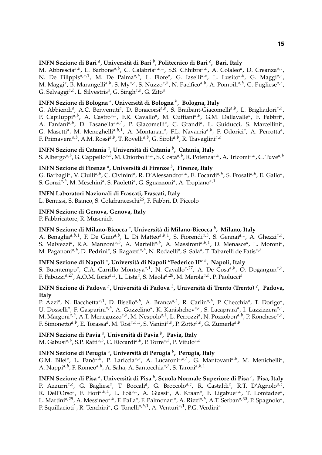## **INFN Sezione di Bari** *<sup>a</sup>* **, Universit`a di Bari** *<sup>b</sup>* **, Politecnico di Bari** *<sup>c</sup>* **, Bari, Italy**

M. Abbrescia*a*,*<sup>b</sup>* , L. Barbone*a*,*<sup>b</sup>* , C. Calabria*a*,*b*,1, S.S. Chhibra*a*,*<sup>b</sup>* , A. Colaleo*<sup>a</sup>* , D. Creanza*a*,*<sup>c</sup>* , N. De Filippis*a*,*c*,1, M. De Palma*a*,*<sup>b</sup>* , L. Fiore*<sup>a</sup>* , G. Iaselli*a*,*<sup>c</sup>* , L. Lusito*a*,*<sup>b</sup>* , G. Maggi*a*,*<sup>c</sup>* , M. Maggi<sup>a</sup>, B. Marangelli<sup>a,b</sup>, S. My<sup>a,c</sup>, S. Nuzzo<sup>a,b</sup>, N. Pacifico<sup>a,b</sup>, A. Pompili<sup>a,b</sup>, G. Pugliese<sup>a,c</sup>, G. Selvaggi*a*,*<sup>b</sup>* , L. Silvestris*<sup>a</sup>* , G. Singh*a*,*<sup>b</sup>* , G. Zito*<sup>a</sup>*

## **INFN Sezione di Bologna** *<sup>a</sup>* **, Universit`a di Bologna** *<sup>b</sup>* **, Bologna, Italy**

G. Abbiendi<sup>a</sup>, A.C. Benvenuti<sup>a</sup>, D. Bonacorsi<sup>a,*b*</sup>, S. Braibant-Giacomelli<sup>a,*b*</sup>, L. Brigliadori<sup>a,*b*</sup>, P. Capiluppi<sup>a,b</sup>, A. Castro<sup>a,b</sup>, F.R. Cavallo<sup>a</sup>, M. Cuffiani<sup>a,b</sup>, G.M. Dallavalle<sup>a</sup>, F. Fabbri<sup>a</sup>, A. Fanfani*a*,*<sup>b</sup>* , D. Fasanella*a*,*b*,1, P. Giacomelli*<sup>a</sup>* , C. Grandi*<sup>a</sup>* , L. Guiducci, S. Marcellini*<sup>a</sup>* , G. Masetti<sup>a</sup>, M. Meneghelli<sup>a,b,1</sup>, A. Montanari<sup>a</sup>, F.L. Navarria<sup>a,b</sup>, F. Odorici<sup>a</sup>, A. Perrotta<sup>a</sup>, F. Primavera*a*,*<sup>b</sup>* , A.M. Rossi*a*,*<sup>b</sup>* , T. Rovelli*a*,*<sup>b</sup>* , G. Siroli*a*,*<sup>b</sup>* , R. Travaglini*a*,*<sup>b</sup>*

**INFN Sezione di Catania** *<sup>a</sup>* **, Universit`a di Catania** *<sup>b</sup>* **, Catania, Italy** S. Albergo*a*,*<sup>b</sup>* , G. Cappello*a*,*<sup>b</sup>* , M. Chiorboli*a*,*<sup>b</sup>* , S. Costa*a*,*<sup>b</sup>* , R. Potenza*a*,*<sup>b</sup>* , A. Tricomi*a*,*<sup>b</sup>* , C. Tuve*a*,*<sup>b</sup>*

## **INFN Sezione di Firenze** *<sup>a</sup>* **, Universit`a di Firenze** *<sup>b</sup>* **, Firenze, Italy**

G. Barbagli*<sup>a</sup>* , V. Ciulli*a*,*<sup>b</sup>* , C. Civinini*<sup>a</sup>* , R. D'Alessandro*a*,*<sup>b</sup>* , E. Focardi*a*,*<sup>b</sup>* , S. Frosali*a*,*<sup>b</sup>* , E. Gallo*<sup>a</sup>* , S. Gonzi*a*,*<sup>b</sup>* , M. Meschini*<sup>a</sup>* , S. Paoletti*<sup>a</sup>* , G. Sguazzoni*<sup>a</sup>* , A. Tropiano*a*,1

**INFN Laboratori Nazionali di Frascati, Frascati, Italy**

L. Benussi, S. Bianco, S. Colafranceschi26, F. Fabbri, D. Piccolo

## **INFN Sezione di Genova, Genova, Italy**

P. Fabbricatore, R. Musenich

## **INFN Sezione di Milano-Bicocca** *<sup>a</sup>* **, Universit`a di Milano-Bicocca** *<sup>b</sup>* **, Milano, Italy**

A. Benaglia<sup>a,b,1</sup>, F. De Guio<sup>a,b</sup>, L. Di Matteo<sup>a,b,1</sup>, S. Fiorendi<sup>a,b</sup>, S. Gennai<sup>a,1</sup>, A. Ghezzi<sup>a,b</sup>, S. Malvezzi<sup>a</sup>, R.A. Manzoni<sup>a,b</sup>, A. Martelli<sup>a,b</sup>, A. Massironi<sup>a,b,1</sup>, D. Menasce<sup>a</sup>, L. Moroni<sup>a</sup>, M. Paganoni<sup>a,b</sup>, D. Pedrini<sup>a</sup>, S. Ragazzi<sup>a,b</sup>, N. Redaelli<sup>a</sup>, S. Sala<sup>a</sup>, T. Tabarelli de Fatis<sup>a,b</sup>

## **INFN Sezione di Napoli** *<sup>a</sup>* **, Universit`a di Napoli "Federico II"** *<sup>b</sup>* **, Napoli, Italy**

S. Buontempo<sup>a</sup>, C.A. Carrillo Montoya<sup>a,1</sup>, N. Cavallo<sup>a,27</sup>, A. De Cosa<sup>a,b</sup>, O. Dogangun<sup>a,b</sup>, F. Fabozzi*a*,27, A.O.M. Iorio*a*,1, L. Lista*<sup>a</sup>* , S. Meola*a*,28, M. Merola*a*,*<sup>b</sup>* , P. Paolucci*<sup>a</sup>*

## INFN Sezione di Padova <sup>a</sup>, Università di Padova <sup>b</sup>, Università di Trento (Trento) <sup>c</sup>, Padova, **Italy**

P. Azzi<sup>a</sup>, N. Bacchetta<sup>a,1</sup>, D. Bisello<sup>a,b</sup>, A. Branca<sup>a,1</sup>, R. Carlin<sup>a,b</sup>, P. Checchia<sup>a</sup>, T. Dorigo<sup>a</sup>, U. Dosselli<sup>a</sup>, F. Gasparini<sup>a,b</sup>, A. Gozzelino<sup>a</sup>, K. Kanishchev<sup>a,c</sup>, S. Lacaprara<sup>a</sup>, I. Lazzizzera<sup>a,c</sup>, M. Margoni<sup>a,b</sup>, A.T. Meneguzzo<sup>a,b</sup>, M. Nespolo<sup>a,1</sup>, L. Perrozzi<sup>a</sup>, N. Pozzobon<sup>a,b</sup>, P. Ronchese<sup>a,b</sup>, F. Simonetto*a*,*<sup>b</sup>* , E. Torassa*<sup>a</sup>* , M. Tosi*a*,*b*,1, S. Vanini*a*,*<sup>b</sup>* , P. Zotto*a*,*<sup>b</sup>* , G. Zumerle*a*,*<sup>b</sup>*

## **INFN Sezione di Pavia** *<sup>a</sup>* **, Universit`a di Pavia** *<sup>b</sup>* **, Pavia, Italy**

M. Gabusi*a*,*<sup>b</sup>* , S.P. Ratti*a*,*<sup>b</sup>* , C. Riccardi*a*,*<sup>b</sup>* , P. Torre*a*,*<sup>b</sup>* , P. Vitulo*a*,*<sup>b</sup>*

## **INFN Sezione di Perugia** *<sup>a</sup>* **, Universit`a di Perugia** *<sup>b</sup>* **, Perugia, Italy**

G.M. Bilei<sup>a</sup>, L. Fanò<sup>a,b</sup>, P. Lariccia<sup>a,b</sup>, A. Lucaroni<sup>a,b,1</sup>, G. Mantovani<sup>a,b</sup>, M. Menichelli<sup>a</sup>, A. Nappi*a*,*<sup>b</sup>* , F. Romeo*a*,*<sup>b</sup>* , A. Saha, A. Santocchia*a*,*<sup>b</sup>* , S. Taroni*a*,*b*,1

**INFN Sezione di Pisa** *<sup>a</sup>* **, Universit`a di Pisa** *<sup>b</sup>* **, Scuola Normale Superiore di Pisa** *<sup>c</sup>* **, Pisa, Italy** P. Azzurri<sup>a,c</sup>, G. Bagliesi<sup>a</sup>, T. Boccali<sup>a</sup>, G. Broccolo<sup>a,c</sup>, R. Castaldi<sup>a</sup>, R.T. D'Agnolo<sup>a,c</sup>, R. Dell'Orso<sup>a</sup>, F. Fiori<sup>a,b,1</sup>, L. Foà<sup>a,c</sup>, A. Giassi<sup>a</sup>, A. Kraan<sup>a</sup>, F. Ligabue<sup>a,c</sup>, T. Lomtadze<sup>a</sup>, L. Martini<sup>a,29</sup>, A. Messineo<sup>a,b</sup>, F. Palla<sup>a</sup>, F. Palmonari<sup>a</sup>, A. Rizzi<sup>a,b</sup>, A.T. Serban<sup>a,30</sup>, P. Spagnolo<sup>a</sup>, P. Squillacioti<sup>1</sup>, R. Tenchini<sup>a</sup>, G. Tonelli<sup>a,b,1</sup>, A. Venturi<sup>a,1</sup>, P.G. Verdini<sup>a</sup>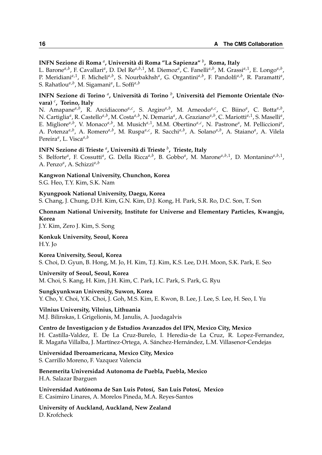## **INFN Sezione di Roma** *<sup>a</sup>* **, Universit`a di Roma "La Sapienza"** *<sup>b</sup>* **, Roma, Italy**

L. Barone<sup>a,b</sup>, F. Cavallari<sup>a</sup>, D. Del Re<sup>a,b,1</sup>, M. Diemoz<sup>a</sup>, C. Fanelli<sup>a,b</sup>, M. Grassi<sup>a,1</sup>, E. Longo<sup>a,b</sup>, P. Meridiani*a*,1, F. Micheli*a*,*<sup>b</sup>* , S. Nourbakhsh*<sup>a</sup>* , G. Organtini*a*,*<sup>b</sup>* , F. Pandolfi*a*,*<sup>b</sup>* , R. Paramatti*<sup>a</sup>* , S. Rahatlou*a*,*<sup>b</sup>* , M. Sigamani*<sup>a</sup>* , L. Soffi*a*,*<sup>b</sup>*

## INFN Sezione di Torino <sup>a</sup>, Università di Torino <sup>b</sup>, Università del Piemonte Orientale (No**vara)** *<sup>c</sup>* **, Torino, Italy**

N. Amapane<sup>a,*b*</sup>, R. Arcidiacono<sup>a,*c*</sup>, S. Argiro<sup>a,*b*</sup>, M. Arneodo<sup>a,*c*</sup>, C. Biino<sup>a</sup>, C. Botta<sup>a,*b*</sup>, N. Cartiglia*<sup>a</sup>* , R. Castello*a*,*<sup>b</sup>* , M. Costa*a*,*<sup>b</sup>* , N. Demaria*<sup>a</sup>* , A. Graziano*a*,*<sup>b</sup>* , C. Mariotti*a*,1, S. Maselli*<sup>a</sup>* , E. Migliore<sup>a,*b*</sup>, V. Monaco<sup>a,*b*</sup>, M. Musich<sup>a,1</sup>, M.M. Obertino<sup>a,c</sup>, N. Pastrone<sup>a</sup>, M. Pelliccioni<sup>a</sup>, A. Potenza<sup>*a*,*b*</sup>, A. Romero<sup>*a*,*b*</sup>, M. Ruspa<sup>*a*,*c*</sup>, R. Sacchi<sup>*a*,*b*</sup>, A. Solano<sup>*a*,*b*</sup>, A. Staiano<sup>*a*</sup>, A. Vilela Pereira*<sup>a</sup>* , L. Visca*a*,*<sup>b</sup>*

## **INFN Sezione di Trieste** *<sup>a</sup>* **, Universit`a di Trieste** *<sup>b</sup>* **, Trieste, Italy**

S. Belforte<sup>a</sup>, F. Cossutti<sup>a</sup>, G. Della Ricca<sup>a,*b*</sup>, B. Gobbo<sup>a</sup>, M. Marone<sup>a,*b*,1</sup>, D. Montanino<sup>a,*b*,1</sup>, A. Penzo*<sup>a</sup>* , A. Schizzi*a*,*<sup>b</sup>*

**Kangwon National University, Chunchon, Korea** S.G. Heo, T.Y. Kim, S.K. Nam

**Kyungpook National University, Daegu, Korea** S. Chang, J. Chung, D.H. Kim, G.N. Kim, D.J. Kong, H. Park, S.R. Ro, D.C. Son, T. Son

**Chonnam National University, Institute for Universe and Elementary Particles, Kwangju, Korea**

J.Y. Kim, Zero J. Kim, S. Song

**Konkuk University, Seoul, Korea** H.Y. Jo

**Korea University, Seoul, Korea** S. Choi, D. Gyun, B. Hong, M. Jo, H. Kim, T.J. Kim, K.S. Lee, D.H. Moon, S.K. Park, E. Seo

**University of Seoul, Seoul, Korea** M. Choi, S. Kang, H. Kim, J.H. Kim, C. Park, I.C. Park, S. Park, G. Ryu

**Sungkyunkwan University, Suwon, Korea** Y. Cho, Y. Choi, Y.K. Choi, J. Goh, M.S. Kim, E. Kwon, B. Lee, J. Lee, S. Lee, H. Seo, I. Yu

**Vilnius University, Vilnius, Lithuania** M.J. Bilinskas, I. Grigelionis, M. Janulis, A. Juodagalvis

**Centro de Investigacion y de Estudios Avanzados del IPN, Mexico City, Mexico** H. Castilla-Valdez, E. De La Cruz-Burelo, I. Heredia-de La Cruz, R. Lopez-Fernandez, R. Magaña Villalba, J. Martínez-Ortega, A. Sánchez-Hernández, L.M. Villasenor-Cendejas

**Universidad Iberoamericana, Mexico City, Mexico** S. Carrillo Moreno, F. Vazquez Valencia

**Benemerita Universidad Autonoma de Puebla, Puebla, Mexico** H.A. Salazar Ibarguen

**Universidad Autónoma de San Luis Potosí, San Luis Potosí, Mexico** E. Casimiro Linares, A. Morelos Pineda, M.A. Reyes-Santos

**University of Auckland, Auckland, New Zealand** D. Krofcheck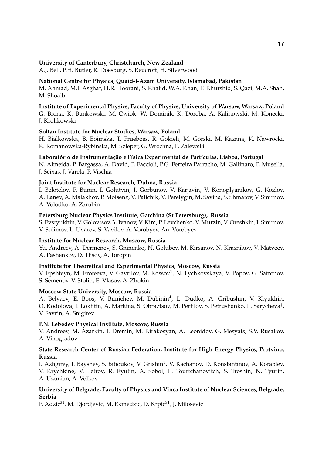## **University of Canterbury, Christchurch, New Zealand**

A.J. Bell, P.H. Butler, R. Doesburg, S. Reucroft, H. Silverwood

### **National Centre for Physics, Quaid-I-Azam University, Islamabad, Pakistan**

M. Ahmad, M.I. Asghar, H.R. Hoorani, S. Khalid, W.A. Khan, T. Khurshid, S. Qazi, M.A. Shah, M. Shoaib

## **Institute of Experimental Physics, Faculty of Physics, University of Warsaw, Warsaw, Poland**

G. Brona, K. Bunkowski, M. Cwiok, W. Dominik, K. Doroba, A. Kalinowski, M. Konecki, J. Krolikowski

## **Soltan Institute for Nuclear Studies, Warsaw, Poland**

H. Bialkowska, B. Boimska, T. Frueboes, R. Gokieli, M. Górski, M. Kazana, K. Nawrocki, K. Romanowska-Rybinska, M. Szleper, G. Wrochna, P. Zalewski

#### Laboratório de Instrumentação e Física Experimental de Partículas, Lisboa, Portugal

N. Almeida, P. Bargassa, A. David, P. Faccioli, P.G. Ferreira Parracho, M. Gallinaro, P. Musella, J. Seixas, J. Varela, P. Vischia

#### **Joint Institute for Nuclear Research, Dubna, Russia**

I. Belotelov, P. Bunin, I. Golutvin, I. Gorbunov, V. Karjavin, V. Konoplyanikov, G. Kozlov, A. Lanev, A. Malakhov, P. Moisenz, V. Palichik, V. Perelygin, M. Savina, S. Shmatov, V. Smirnov, A. Volodko, A. Zarubin

## **Petersburg Nuclear Physics Institute, Gatchina (St Petersburg), Russia**

S. Evstyukhin, V. Golovtsov, Y. Ivanov, V. Kim, P. Levchenko, V. Murzin, V. Oreshkin, I. Smirnov, V. Sulimov, L. Uvarov, S. Vavilov, A. Vorobyev, An. Vorobyev

#### **Institute for Nuclear Research, Moscow, Russia**

Yu. Andreev, A. Dermenev, S. Gninenko, N. Golubev, M. Kirsanov, N. Krasnikov, V. Matveev, A. Pashenkov, D. Tlisov, A. Toropin

## **Institute for Theoretical and Experimental Physics, Moscow, Russia**

V. Epshteyn, M. Erofeeva, V. Gavrilov, M. Kossov<sup>1</sup>, N. Lychkovskaya, V. Popov, G. Safronov, S. Semenov, V. Stolin, E. Vlasov, A. Zhokin

#### **Moscow State University, Moscow, Russia**

A. Belyaev, E. Boos, V. Bunichev, M. Dubinin<sup>4</sup>, L. Dudko, A. Gribushin, V. Klyukhin, O. Kodolova, I. Lokhtin, A. Markina, S. Obraztsov, M. Perfilov, S. Petrushanko, L. Sarycheva† , V. Savrin, A. Snigirev

## **P.N. Lebedev Physical Institute, Moscow, Russia**

V. Andreev, M. Azarkin, I. Dremin, M. Kirakosyan, A. Leonidov, G. Mesyats, S.V. Rusakov, A. Vinogradov

## **State Research Center of Russian Federation, Institute for High Energy Physics, Protvino, Russia**

I. Azhgirey, I. Bayshev, S. Bitioukov, V. Grishin<sup>1</sup>, V. Kachanov, D. Konstantinov, A. Korablev, V. Krychkine, V. Petrov, R. Ryutin, A. Sobol, L. Tourtchanovitch, S. Troshin, N. Tyurin, A. Uzunian, A. Volkov

## **University of Belgrade, Faculty of Physics and Vinca Institute of Nuclear Sciences, Belgrade, Serbia**

P. Adzic<sup>31</sup>, M. Djordjevic, M. Ekmedzic, D. Krpic<sup>31</sup>, J. Milosevic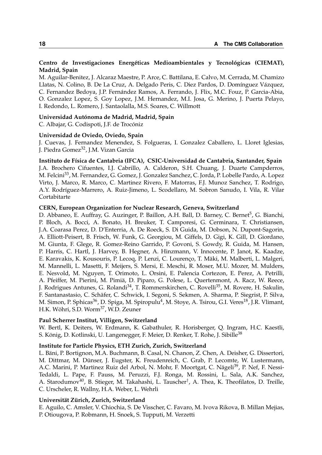## Centro de Investigaciones Energéticas Medioambientales y Tecnológicas (CIEMAT), **Madrid, Spain**

M. Aguilar-Benitez, J. Alcaraz Maestre, P. Arce, C. Battilana, E. Calvo, M. Cerrada, M. Chamizo Llatas, N. Colino, B. De La Cruz, A. Delgado Peris, C. Diez Pardos, D. Domínguez Vázquez, C. Fernandez Bedoya, J.P. Fernández Ramos, A. Ferrando, J. Flix, M.C. Fouz, P. Garcia-Abia, O. Gonzalez Lopez, S. Goy Lopez, J.M. Hernandez, M.I. Josa, G. Merino, J. Puerta Pelayo, I. Redondo, L. Romero, J. Santaolalla, M.S. Soares, C. Willmott

#### **Universidad Autónoma de Madrid, Madrid, Spain**

C. Albajar, G. Codispoti, J.F. de Trocóniz

#### **Universidad de Oviedo, Oviedo, Spain**

J. Cuevas, J. Fernandez Menendez, S. Folgueras, I. Gonzalez Caballero, L. Lloret Iglesias, J. Piedra Gomez<sup>32</sup>, J.M. Vizan Garcia

## Instituto de Física de Cantabria (IFCA), CSIC-Universidad de Cantabria, Santander, Spain

J.A. Brochero Cifuentes, I.J. Cabrillo, A. Calderon, S.H. Chuang, J. Duarte Campderros, M. Felcini<sup>33</sup>, M. Fernandez, G. Gomez, J. Gonzalez Sanchez, C. Jorda, P. Lobelle Pardo, A. Lopez Virto, J. Marco, R. Marco, C. Martinez Rivero, F. Matorras, F.J. Munoz Sanchez, T. Rodrigo, A.Y. Rodríguez-Marrero, A. Ruiz-Jimeno, L. Scodellaro, M. Sobron Sanudo, I. Vila, R. Vilar Cortabitarte

#### **CERN, European Organization for Nuclear Research, Geneva, Switzerland**

D. Abbaneo, E. Auffray, G. Auzinger, P. Baillon, A.H. Ball, D. Barney, C. Bernet<sup>5</sup>, G. Bianchi, P. Bloch, A. Bocci, A. Bonato, H. Breuker, T. Camporesi, G. Cerminara, T. Christiansen, J.A. Coarasa Perez, D. D'Enterria, A. De Roeck, S. Di Guida, M. Dobson, N. Dupont-Sagorin, A. Elliott-Peisert, B. Frisch, W. Funk, G. Georgiou, M. Giffels, D. Gigi, K. Gill, D. Giordano, M. Giunta, F. Glege, R. Gomez-Reino Garrido, P. Govoni, S. Gowdy, R. Guida, M. Hansen, P. Harris, C. Hartl, J. Harvey, B. Hegner, A. Hinzmann, V. Innocente, P. Janot, K. Kaadze, E. Karavakis, K. Kousouris, P. Lecoq, P. Lenzi, C. Lourenço, T. Mäki, M. Malberti, L. Malgeri, M. Mannelli, L. Masetti, F. Meijers, S. Mersi, E. Meschi, R. Moser, M.U. Mozer, M. Mulders, E. Nesvold, M. Nguyen, T. Orimoto, L. Orsini, E. Palencia Cortezon, E. Perez, A. Petrilli, A. Pfeiffer, M. Pierini, M. Pimiä, D. Piparo, G. Polese, L. Quertenmont, A. Racz, W. Reece, J. Rodrigues Antunes, G. Rolandi<sup>34</sup>, T. Rommerskirchen, C. Rovelli<sup>35</sup>, M. Rovere, H. Sakulin, F. Santanastasio, C. Schafer, C. Schwick, I. Segoni, S. Sekmen, A. Sharma, P. Siegrist, P. Silva, ¨ M. Simon, P. Sphicas<sup>36</sup>, D. Spiga, M. Spiropulu<sup>4</sup>, M. Stoye, A. Tsirou, G.I. Veres<sup>18</sup>, J.R. Vlimant, H.K. Wöhri, S.D. Worm<sup>37</sup>, W.D. Zeuner

#### **Paul Scherrer Institut, Villigen, Switzerland**

W. Bertl, K. Deiters, W. Erdmann, K. Gabathuler, R. Horisberger, Q. Ingram, H.C. Kaestli, S. König, D. Kotlinski, U. Langenegger, F. Meier, D. Renker, T. Rohe, J. Sibille<sup>38</sup>

#### **Institute for Particle Physics, ETH Zurich, Zurich, Switzerland**

L. Bäni, P. Bortignon, M.A. Buchmann, B. Casal, N. Chanon, Z. Chen, A. Deisher, G. Dissertori, M. Dittmar, M. Dünser, J. Eugster, K. Freudenreich, C. Grab, P. Lecomte, W. Lustermann, A.C. Marini, P. Martinez Ruiz del Arbol, N. Mohr, F. Moortgat, C. Nägeli<sup>39</sup>, P. Nef, F. Nessi-Tedaldi, L. Pape, F. Pauss, M. Peruzzi, F.J. Ronga, M. Rossini, L. Sala, A.K. Sanchez, A. Starodumov<sup>40</sup>, B. Stieger, M. Takahashi, L. Tauscher<sup>†</sup>, A. Thea, K. Theofilatos, D. Treille, C. Urscheler, R. Wallny, H.A. Weber, L. Wehrli

## Universität Zürich, Zurich, Switzerland

E. Aguilo, C. Amsler, V. Chiochia, S. De Visscher, C. Favaro, M. Ivova Rikova, B. Millan Mejias, P. Otiougova, P. Robmann, H. Snoek, S. Tupputi, M. Verzetti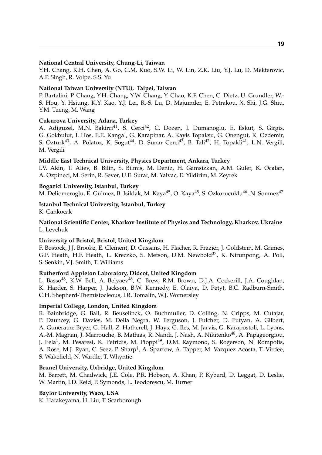## **National Central University, Chung-Li, Taiwan**

Y.H. Chang, K.H. Chen, A. Go, C.M. Kuo, S.W. Li, W. Lin, Z.K. Liu, Y.J. Lu, D. Mekterovic, A.P. Singh, R. Volpe, S.S. Yu

#### **National Taiwan University (NTU), Taipei, Taiwan**

P. Bartalini, P. Chang, Y.H. Chang, Y.W. Chang, Y. Chao, K.F. Chen, C. Dietz, U. Grundler, W.- S. Hou, Y. Hsiung, K.Y. Kao, Y.J. Lei, R.-S. Lu, D. Majumder, E. Petrakou, X. Shi, J.G. Shiu, Y.M. Tzeng, M. Wang

## **Cukurova University, Adana, Turkey**

A. Adiguzel, M.N. Bakirci<sup>41</sup>, S. Cerci<sup>42</sup>, C. Dozen, I. Dumanoglu, E. Eskut, S. Girgis, G. Gokbulut, I. Hos, E.E. Kangal, G. Karapinar, A. Kayis Topaksu, G. Onengut, K. Ozdemir, S. Ozturk<sup>43</sup>, A. Polatoz, K. Sogut<sup>44</sup>, D. Sunar Cerci<sup>42</sup>, B. Tali<sup>42</sup>, H. Topakli<sup>41</sup>, L.N. Vergili, M. Vergili

#### **Middle East Technical University, Physics Department, Ankara, Turkey**

I.V. Akin, T. Aliev, B. Bilin, S. Bilmis, M. Deniz, H. Gamsizkan, A.M. Guler, K. Ocalan, A. Ozpineci, M. Serin, R. Sever, U.E. Surat, M. Yalvac, E. Yildirim, M. Zeyrek

#### **Bogazici University, Istanbul, Turkey**

M. Deliomeroglu*,* E. Gülmez, B. Isildak, M. Kaya<sup>45</sup>, O. Kaya<sup>45</sup>, S. Ozkorucuklu<sup>46</sup>, N. Sonmez<sup>47</sup>

**Istanbul Technical University, Istanbul, Turkey**

K. Cankocak

**National Scientific Center, Kharkov Institute of Physics and Technology, Kharkov, Ukraine** L. Levchuk

#### **University of Bristol, Bristol, United Kingdom**

F. Bostock, J.J. Brooke, E. Clement, D. Cussans, H. Flacher, R. Frazier, J. Goldstein, M. Grimes, G.P. Heath, H.F. Heath, L. Kreczko, S. Metson, D.M. Newbold<sup>37</sup>, K. Nirunpong, A. Poll, S. Senkin, V.J. Smith, T. Williams

## **Rutherford Appleton Laboratory, Didcot, United Kingdom**

L. Basso<sup>48</sup>, K.W. Bell, A. Belyaev<sup>48</sup>, C. Brew, R.M. Brown, D.J.A. Cockerill, J.A. Coughlan, K. Harder, S. Harper, J. Jackson, B.W. Kennedy, E. Olaiya, D. Petyt, B.C. Radburn-Smith, C.H. Shepherd-Themistocleous, I.R. Tomalin, W.J. Womersley

#### **Imperial College, London, United Kingdom**

R. Bainbridge, G. Ball, R. Beuselinck, O. Buchmuller, D. Colling, N. Cripps, M. Cutajar, P. Dauncey, G. Davies, M. Della Negra, W. Ferguson, J. Fulcher, D. Futyan, A. Gilbert, A. Guneratne Bryer, G. Hall, Z. Hatherell, J. Hays, G. Iles, M. Jarvis, G. Karapostoli, L. Lyons, A.-M. Magnan, J. Marrouche, B. Mathias, R. Nandi, J. Nash, A. Nikitenko<sup>40</sup>, A. Papageorgiou, J. Pela<sup>1</sup>, M. Pesaresi, K. Petridis, M. Pioppi<sup>49</sup>, D.M. Raymond, S. Rogerson, N. Rompotis, A. Rose, M.J. Ryan, C. Seez, P. Sharp† , A. Sparrow, A. Tapper, M. Vazquez Acosta, T. Virdee, S. Wakefield, N. Wardle, T. Whyntie

#### **Brunel University, Uxbridge, United Kingdom**

M. Barrett, M. Chadwick, J.E. Cole, P.R. Hobson, A. Khan, P. Kyberd, D. Leggat, D. Leslie, W. Martin, I.D. Reid, P. Symonds, L. Teodorescu, M. Turner

#### **Baylor University, Waco, USA**

K. Hatakeyama, H. Liu, T. Scarborough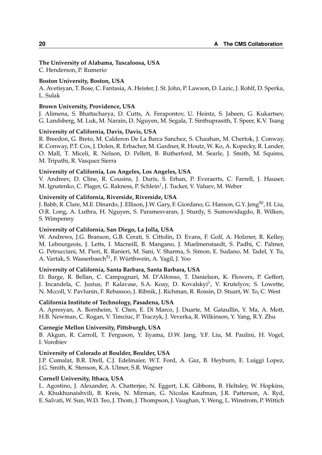## **The University of Alabama, Tuscaloosa, USA**

C. Henderson, P. Rumerio

## **Boston University, Boston, USA**

A. Avetisyan, T. Bose, C. Fantasia, A. Heister, J. St. John, P. Lawson, D. Lazic, J. Rohlf, D. Sperka, L. Sulak

## **Brown University, Providence, USA**

J. Alimena, S. Bhattacharya, D. Cutts, A. Ferapontov, U. Heintz, S. Jabeen, G. Kukartsev, G. Landsberg, M. Luk, M. Narain, D. Nguyen, M. Segala, T. Sinthuprasith, T. Speer, K.V. Tsang

## **University of California, Davis, Davis, USA**

R. Breedon, G. Breto, M. Calderon De La Barca Sanchez, S. Chauhan, M. Chertok, J. Conway, R. Conway, P.T. Cox, J. Dolen, R. Erbacher, M. Gardner, R. Houtz, W. Ko, A. Kopecky, R. Lander, O. Mall, T. Miceli, R. Nelson, D. Pellett, B. Rutherford, M. Searle, J. Smith, M. Squires, M. Tripathi, R. Vasquez Sierra

## **University of California, Los Angeles, Los Angeles, USA**

V. Andreev, D. Cline, R. Cousins, J. Duris, S. Erhan, P. Everaerts, C. Farrell, J. Hauser, M. Ignatenko*,* C. Plager, G. Rakness, P. Schlein<sup>†</sup>, J. Tucker, V. Valuev, M. Weber

## **University of California, Riverside, Riverside, USA**

J. Babb, R. Clare, M.E. Dinardo, J. Ellison, J.W. Gary, F. Giordano, G. Hanson, G.Y. Jeng50, H. Liu, O.R. Long, A. Luthra, H. Nguyen, S. Paramesvaran, J. Sturdy, S. Sumowidagdo, R. Wilken, S. Wimpenny

## **University of California, San Diego, La Jolla, USA**

W. Andrews, J.G. Branson, G.B. Cerati, S. Cittolin, D. Evans, F. Golf, A. Holzner, R. Kelley, M. Lebourgeois, J. Letts, I. Macneill, B. Mangano, J. Muelmenstaedt, S. Padhi, C. Palmer, G. Petrucciani, M. Pieri, R. Ranieri, M. Sani, V. Sharma, S. Simon, E. Sudano, M. Tadel, Y. Tu, A. Vartak, S. Wasserbaech<sup>51</sup>, F. Würthwein, A. Yagil, J. Yoo

## **University of California, Santa Barbara, Santa Barbara, USA**

D. Barge, R. Bellan, C. Campagnari, M. D'Alfonso, T. Danielson, K. Flowers, P. Geffert, J. Incandela, C. Justus, P. Kalavase, S.A. Koay, D. Kovalskyi<sup>1</sup>, V. Krutelyov, S. Lowette, N. Mccoll, V. Pavlunin, F. Rebassoo, J. Ribnik, J. Richman, R. Rossin, D. Stuart, W. To, C. West

## **California Institute of Technology, Pasadena, USA**

A. Apresyan, A. Bornheim, Y. Chen, E. Di Marco, J. Duarte, M. Gataullin, Y. Ma, A. Mott, H.B. Newman, C. Rogan, V. Timciuc, P. Traczyk, J. Veverka, R. Wilkinson, Y. Yang, R.Y. Zhu

## **Carnegie Mellon University, Pittsburgh, USA**

B. Akgun, R. Carroll, T. Ferguson, Y. Iiyama, D.W. Jang, Y.F. Liu, M. Paulini, H. Vogel, I. Vorobiev

## **University of Colorado at Boulder, Boulder, USA**

J.P. Cumalat, B.R. Drell, C.J. Edelmaier, W.T. Ford, A. Gaz, B. Heyburn, E. Luiggi Lopez, J.G. Smith, K. Stenson, K.A. Ulmer, S.R. Wagner

## **Cornell University, Ithaca, USA**

L. Agostino, J. Alexander, A. Chatterjee, N. Eggert, L.K. Gibbons, B. Heltsley, W. Hopkins, A. Khukhunaishvili, B. Kreis, N. Mirman, G. Nicolas Kaufman, J.R. Patterson, A. Ryd, E. Salvati, W. Sun, W.D. Teo, J. Thom, J. Thompson, J. Vaughan, Y. Weng, L. Winstrom, P. Wittich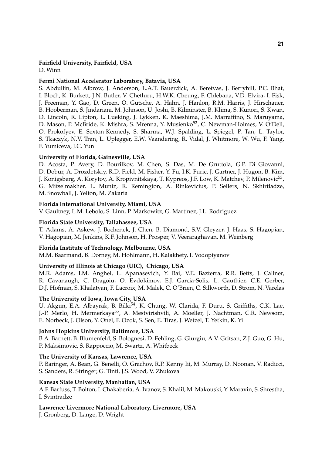## **Fairfield University, Fairfield, USA** D. Winn

## **Fermi National Accelerator Laboratory, Batavia, USA**

S. Abdullin, M. Albrow, J. Anderson, L.A.T. Bauerdick, A. Beretvas, J. Berryhill, P.C. Bhat, I. Bloch, K. Burkett, J.N. Butler, V. Chetluru, H.W.K. Cheung, F. Chlebana, V.D. Elvira, I. Fisk, J. Freeman, Y. Gao, D. Green, O. Gutsche, A. Hahn, J. Hanlon, R.M. Harris, J. Hirschauer, B. Hooberman, S. Jindariani, M. Johnson, U. Joshi, B. Kilminster, B. Klima, S. Kunori, S. Kwan, D. Lincoln, R. Lipton, L. Lueking, J. Lykken, K. Maeshima, J.M. Marraffino, S. Maruyama, D. Mason, P. McBride, K. Mishra, S. Mrenna, Y. Musienko<sup>52</sup>, C. Newman-Holmes, V. O'Dell, O. Prokofyev, E. Sexton-Kennedy, S. Sharma, W.J. Spalding, L. Spiegel, P. Tan, L. Taylor, S. Tkaczyk, N.V. Tran, L. Uplegger, E.W. Vaandering, R. Vidal, J. Whitmore, W. Wu, F. Yang, F. Yumiceva, J.C. Yun

### **University of Florida, Gainesville, USA**

D. Acosta, P. Avery, D. Bourilkov, M. Chen, S. Das, M. De Gruttola, G.P. Di Giovanni, D. Dobur, A. Drozdetskiy, R.D. Field, M. Fisher, Y. Fu, I.K. Furic, J. Gartner, J. Hugon, B. Kim, J. Konigsberg, A. Korytov, A. Kropivnitskaya, T. Kypreos, J.F. Low, K. Matchev, P. Milenovic $^{53}$ , G. Mitselmakher, L. Muniz, R. Remington, A. Rinkevicius, P. Sellers, N. Skhirtladze, M. Snowball, J. Yelton, M. Zakaria

#### **Florida International University, Miami, USA**

V. Gaultney, L.M. Lebolo, S. Linn, P. Markowitz, G. Martinez, J.L. Rodriguez

#### **Florida State University, Tallahassee, USA**

T. Adams, A. Askew, J. Bochenek, J. Chen, B. Diamond, S.V. Gleyzer, J. Haas, S. Hagopian, V. Hagopian, M. Jenkins, K.F. Johnson, H. Prosper, V. Veeraraghavan, M. Weinberg

## **Florida Institute of Technology, Melbourne, USA**

M.M. Baarmand, B. Dorney, M. Hohlmann, H. Kalakhety, I. Vodopiyanov

#### **University of Illinois at Chicago (UIC), Chicago, USA**

M.R. Adams, I.M. Anghel, L. Apanasevich, Y. Bai, V.E. Bazterra, R.R. Betts, J. Callner, R. Cavanaugh, C. Dragoiu, O. Evdokimov, E.J. Garcia-Solis, L. Gauthier, C.E. Gerber, D.J. Hofman, S. Khalatyan, F. Lacroix, M. Malek, C. O'Brien, C. Silkworth, D. Strom, N. Varelas

#### **The University of Iowa, Iowa City, USA**

U. Akgun, E.A. Albayrak, B. Bilki<sup>54</sup>, K. Chung, W. Clarida, F. Duru, S. Griffiths, C.K. Lae, J.-P. Merlo, H. Mermerkaya<sup>55</sup>, A. Mestvirishvili, A. Moeller, J. Nachtman, C.R. Newsom, E. Norbeck, J. Olson, Y. Onel, F. Ozok, S. Sen, E. Tiras, J. Wetzel, T. Yetkin, K. Yi

## **Johns Hopkins University, Baltimore, USA**

B.A. Barnett, B. Blumenfeld, S. Bolognesi, D. Fehling, G. Giurgiu, A.V. Gritsan, Z.J. Guo, G. Hu, P. Maksimovic, S. Rappoccio, M. Swartz, A. Whitbeck

#### **The University of Kansas, Lawrence, USA**

P. Baringer, A. Bean, G. Benelli, O. Grachov, R.P. Kenny Iii, M. Murray, D. Noonan, V. Radicci, S. Sanders, R. Stringer, G. Tinti, J.S. Wood, V. Zhukova

#### **Kansas State University, Manhattan, USA**

A.F. Barfuss, T. Bolton, I. Chakaberia, A. Ivanov, S. Khalil, M. Makouski, Y. Maravin, S. Shrestha, I. Svintradze

#### **Lawrence Livermore National Laboratory, Livermore, USA**

J. Gronberg, D. Lange, D. Wright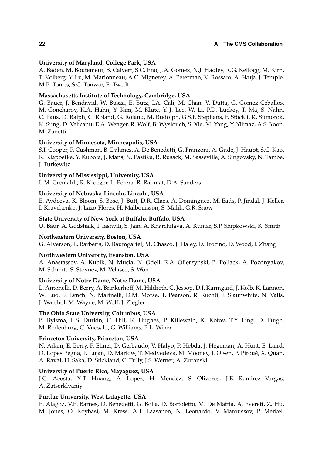#### **University of Maryland, College Park, USA**

A. Baden, M. Boutemeur, B. Calvert, S.C. Eno, J.A. Gomez, N.J. Hadley, R.G. Kellogg, M. Kirn, T. Kolberg, Y. Lu, M. Marionneau, A.C. Mignerey, A. Peterman, K. Rossato, A. Skuja, J. Temple, M.B. Tonjes, S.C. Tonwar, E. Twedt

#### **Massachusetts Institute of Technology, Cambridge, USA**

G. Bauer, J. Bendavid, W. Busza, E. Butz, I.A. Cali, M. Chan, V. Dutta, G. Gomez Ceballos, M. Goncharov, K.A. Hahn, Y. Kim, M. Klute, Y.-J. Lee, W. Li, P.D. Luckey, T. Ma, S. Nahn, C. Paus, D. Ralph, C. Roland, G. Roland, M. Rudolph, G.S.F. Stephans, F. Stockli, K. Sumorok, ¨ K. Sung, D. Velicanu, E.A. Wenger, R. Wolf, B. Wyslouch, S. Xie, M. Yang, Y. Yilmaz, A.S. Yoon, M. Zanetti

#### **University of Minnesota, Minneapolis, USA**

S.I. Cooper, P. Cushman, B. Dahmes, A. De Benedetti, G. Franzoni, A. Gude, J. Haupt, S.C. Kao, K. Klapoetke, Y. Kubota, J. Mans, N. Pastika, R. Rusack, M. Sasseville, A. Singovsky, N. Tambe, J. Turkewitz

### **University of Mississippi, University, USA**

L.M. Cremaldi, R. Kroeger, L. Perera, R. Rahmat, D.A. Sanders

## **University of Nebraska-Lincoln, Lincoln, USA**

E. Avdeeva, K. Bloom, S. Bose, J. Butt, D.R. Claes, A. Dominguez, M. Eads, P. Jindal, J. Keller, I. Kravchenko, J. Lazo-Flores, H. Malbouisson, S. Malik, G.R. Snow

## **State University of New York at Buffalo, Buffalo, USA**

U. Baur, A. Godshalk, I. Iashvili, S. Jain, A. Kharchilava, A. Kumar, S.P. Shipkowski, K. Smith

#### **Northeastern University, Boston, USA**

G. Alverson, E. Barberis, D. Baumgartel, M. Chasco, J. Haley, D. Trocino, D. Wood, J. Zhang

#### **Northwestern University, Evanston, USA**

A. Anastassov, A. Kubik, N. Mucia, N. Odell, R.A. Ofierzynski, B. Pollack, A. Pozdnyakov, M. Schmitt, S. Stoynev, M. Velasco, S. Won

## **University of Notre Dame, Notre Dame, USA**

L. Antonelli, D. Berry, A. Brinkerhoff, M. Hildreth, C. Jessop, D.J. Karmgard, J. Kolb, K. Lannon, W. Luo, S. Lynch, N. Marinelli, D.M. Morse, T. Pearson, R. Ruchti, J. Slaunwhite, N. Valls, J. Warchol, M. Wayne, M. Wolf, J. Ziegler

#### **The Ohio State University, Columbus, USA**

B. Bylsma, L.S. Durkin, C. Hill, R. Hughes, P. Killewald, K. Kotov, T.Y. Ling, D. Puigh, M. Rodenburg, C. Vuosalo, G. Williams, B.L. Winer

#### **Princeton University, Princeton, USA**

N. Adam, E. Berry, P. Elmer, D. Gerbaudo, V. Halyo, P. Hebda, J. Hegeman, A. Hunt, E. Laird, D. Lopes Pegna, P. Lujan, D. Marlow, T. Medvedeva, M. Mooney, J. Olsen, P. Piroue, X. Quan, ´ A. Raval, H. Saka, D. Stickland, C. Tully, J.S. Werner, A. Zuranski

#### **University of Puerto Rico, Mayaguez, USA**

J.G. Acosta, X.T. Huang, A. Lopez, H. Mendez, S. Oliveros, J.E. Ramirez Vargas, A. Zatserklyaniy

#### **Purdue University, West Lafayette, USA**

E. Alagoz, V.E. Barnes, D. Benedetti, G. Bolla, D. Bortoletto, M. De Mattia, A. Everett, Z. Hu, M. Jones, O. Koybasi, M. Kress, A.T. Laasanen, N. Leonardo, V. Maroussov, P. Merkel,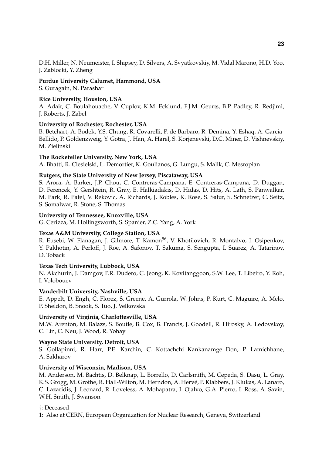D.H. Miller, N. Neumeister, I. Shipsey, D. Silvers, A. Svyatkovskiy, M. Vidal Marono, H.D. Yoo, J. Zablocki, Y. Zheng

## **Purdue University Calumet, Hammond, USA**

S. Guragain, N. Parashar

## **Rice University, Houston, USA**

A. Adair, C. Boulahouache, V. Cuplov, K.M. Ecklund, F.J.M. Geurts, B.P. Padley, R. Redjimi, J. Roberts, J. Zabel

## **University of Rochester, Rochester, USA**

B. Betchart, A. Bodek, Y.S. Chung, R. Covarelli, P. de Barbaro, R. Demina, Y. Eshaq, A. Garcia-Bellido, P. Goldenzweig, Y. Gotra, J. Han, A. Harel, S. Korjenevski, D.C. Miner, D. Vishnevskiy, M. Zielinski

## **The Rockefeller University, New York, USA**

A. Bhatti, R. Ciesielski, L. Demortier, K. Goulianos, G. Lungu, S. Malik, C. Mesropian

## **Rutgers, the State University of New Jersey, Piscataway, USA**

S. Arora, A. Barker, J.P. Chou, C. Contreras-Campana, E. Contreras-Campana, D. Duggan, D. Ferencek, Y. Gershtein, R. Gray, E. Halkiadakis, D. Hidas, D. Hits, A. Lath, S. Panwalkar, M. Park, R. Patel, V. Rekovic, A. Richards, J. Robles, K. Rose, S. Salur, S. Schnetzer, C. Seitz, S. Somalwar, R. Stone, S. Thomas

## **University of Tennessee, Knoxville, USA**

G. Cerizza, M. Hollingsworth, S. Spanier, Z.C. Yang, A. York

## **Texas A&M University, College Station, USA**

R. Eusebi, W. Flanagan, J. Gilmore, T. Kamon<sup>56</sup>, V. Khotilovich, R. Montalvo, I. Osipenkov, Y. Pakhotin, A. Perloff, J. Roe, A. Safonov, T. Sakuma, S. Sengupta, I. Suarez, A. Tatarinov, D. Toback

## **Texas Tech University, Lubbock, USA**

N. Akchurin, J. Damgov, P.R. Dudero, C. Jeong, K. Kovitanggoon, S.W. Lee, T. Libeiro, Y. Roh, I. Volobouev

## **Vanderbilt University, Nashville, USA**

E. Appelt, D. Engh, C. Florez, S. Greene, A. Gurrola, W. Johns, P. Kurt, C. Maguire, A. Melo, P. Sheldon, B. Snook, S. Tuo, J. Velkovska

## **University of Virginia, Charlottesville, USA**

M.W. Arenton, M. Balazs, S. Boutle, B. Cox, B. Francis, J. Goodell, R. Hirosky, A. Ledovskoy, C. Lin, C. Neu, J. Wood, R. Yohay

## **Wayne State University, Detroit, USA**

S. Gollapinni, R. Harr, P.E. Karchin, C. Kottachchi Kankanamge Don, P. Lamichhane, A. Sakharov

## **University of Wisconsin, Madison, USA**

M. Anderson, M. Bachtis, D. Belknap, L. Borrello, D. Carlsmith, M. Cepeda, S. Dasu, L. Gray, K.S. Grogg, M. Grothe, R. Hall-Wilton, M. Herndon, A. Hervé, P. Klabbers, J. Klukas, A. Lanaro, C. Lazaridis, J. Leonard, R. Loveless, A. Mohapatra, I. Ojalvo, G.A. Pierro, I. Ross, A. Savin, W.H. Smith, J. Swanson

#### †: Deceased

1: Also at CERN, European Organization for Nuclear Research, Geneva, Switzerland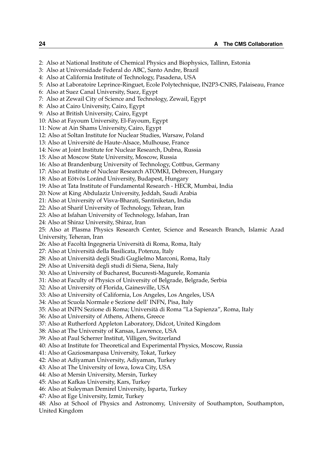- 2: Also at National Institute of Chemical Physics and Biophysics, Tallinn, Estonia
- 3: Also at Universidade Federal do ABC, Santo Andre, Brazil
- 4: Also at California Institute of Technology, Pasadena, USA
- 5: Also at Laboratoire Leprince-Ringuet, Ecole Polytechnique, IN2P3-CNRS, Palaiseau, France
- 6: Also at Suez Canal University, Suez, Egypt
- 7: Also at Zewail City of Science and Technology, Zewail, Egypt
- 8: Also at Cairo University, Cairo, Egypt
- 9: Also at British University, Cairo, Egypt
- 10: Also at Fayoum University, El-Fayoum, Egypt
- 11: Now at Ain Shams University, Cairo, Egypt
- 12: Also at Soltan Institute for Nuclear Studies, Warsaw, Poland
- 13: Also at Universite de Haute-Alsace, Mulhouse, France ´
- 14: Now at Joint Institute for Nuclear Research, Dubna, Russia
- 15: Also at Moscow State University, Moscow, Russia
- 16: Also at Brandenburg University of Technology, Cottbus, Germany
- 17: Also at Institute of Nuclear Research ATOMKI, Debrecen, Hungary
- 18: Also at Eötvös Loránd University, Budapest, Hungary
- 19: Also at Tata Institute of Fundamental Research HECR, Mumbai, India
- 20: Now at King Abdulaziz University, Jeddah, Saudi Arabia
- 21: Also at University of Visva-Bharati, Santiniketan, India
- 22: Also at Sharif University of Technology, Tehran, Iran
- 23: Also at Isfahan University of Technology, Isfahan, Iran
- 24: Also at Shiraz University, Shiraz, Iran
- 25: Also at Plasma Physics Research Center, Science and Research Branch, Islamic Azad University, Teheran, Iran
- 26: Also at Facoltà Ingegneria Università di Roma, Roma, Italy
- 27: Also at Universita della Basilicata, Potenza, Italy `
- 28: Also at Universita degli Studi Guglielmo Marconi, Roma, Italy `
- 29: Also at Universita degli studi di Siena, Siena, Italy `
- 30: Also at University of Bucharest, Bucuresti-Magurele, Romania
- 31: Also at Faculty of Physics of University of Belgrade, Belgrade, Serbia
- 32: Also at University of Florida, Gainesville, USA
- 33: Also at University of California, Los Angeles, Los Angeles, USA
- 34: Also at Scuola Normale e Sezione dell' INFN, Pisa, Italy
- 35: Also at INFN Sezione di Roma; Universita di Roma "La Sapienza", Roma, Italy `
- 36: Also at University of Athens, Athens, Greece
- 37: Also at Rutherford Appleton Laboratory, Didcot, United Kingdom
- 38: Also at The University of Kansas, Lawrence, USA
- 39: Also at Paul Scherrer Institut, Villigen, Switzerland
- 40: Also at Institute for Theoretical and Experimental Physics, Moscow, Russia
- 41: Also at Gaziosmanpasa University, Tokat, Turkey
- 42: Also at Adiyaman University, Adiyaman, Turkey
- 43: Also at The University of Iowa, Iowa City, USA
- 44: Also at Mersin University, Mersin, Turkey
- 45: Also at Kafkas University, Kars, Turkey
- 46: Also at Suleyman Demirel University, Isparta, Turkey
- 47: Also at Ege University, Izmir, Turkey
- 48: Also at School of Physics and Astronomy, University of Southampton, Southampton, United Kingdom